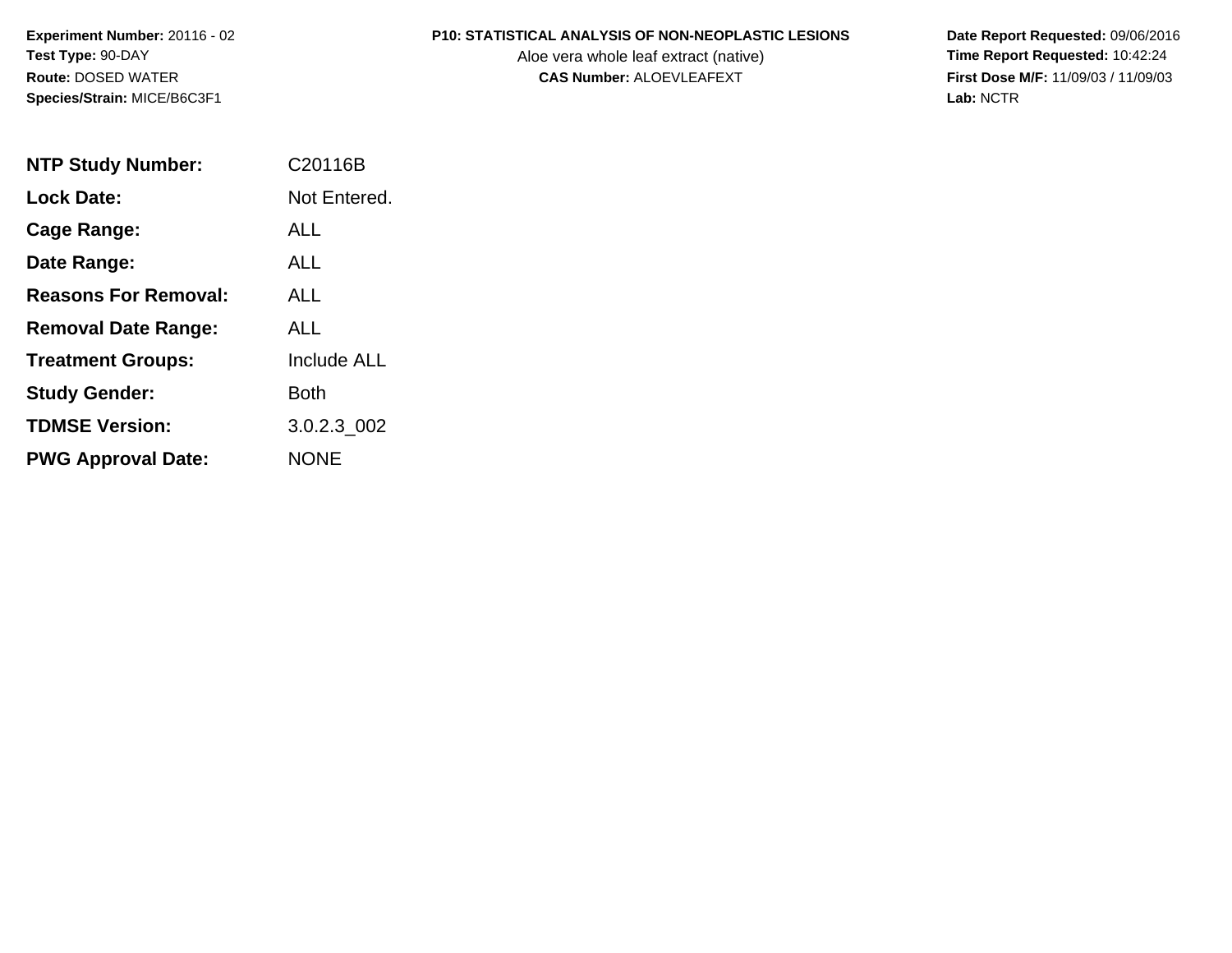**Experiment Number:** 20116 - 02**Test Type:** 90-DAY**Route:** DOSED WATER**Species/Strain:** MICE/B6C3F1

#### **P10: STATISTICAL ANALYSIS OF NON-NEOPLASTIC LESIONS**

Aloe vera whole leaf extract (native)<br>**CAS Number:** ALOEVLEAFEXT

 **Date Report Requested:** 09/06/2016 **First Dose M/F:** 11/09/03 / 11/09/03<br>Lab: NCTR **Lab:** NCTR

| <b>NTP Study Number:</b>    | C20116B            |
|-----------------------------|--------------------|
| Lock Date:                  | Not Entered.       |
| Cage Range:                 | AI I               |
| Date Range:                 | ALL                |
| <b>Reasons For Removal:</b> | AI I               |
| <b>Removal Date Range:</b>  | ALL                |
| <b>Treatment Groups:</b>    | <b>Include ALL</b> |
| <b>Study Gender:</b>        | Both               |
| <b>TDMSE Version:</b>       | 3.0.2.3 002        |
| <b>PWG Approval Date:</b>   | NONE               |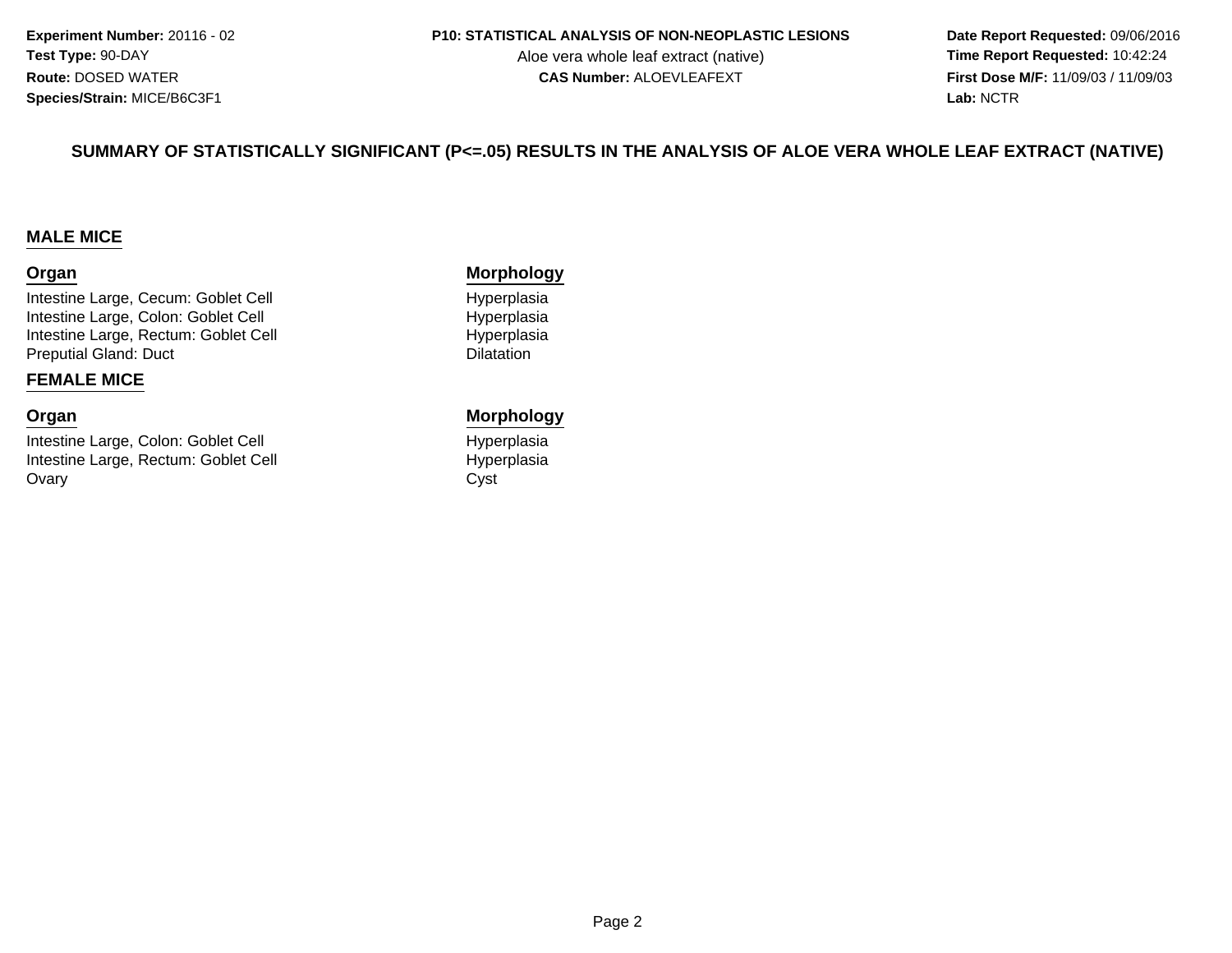**Experiment Number:** 20116 - 02**Test Type:** 90-DAY**Route:** DOSED WATER**Species/Strain:** MICE/B6C3F1

#### **P10: STATISTICAL ANALYSIS OF NON-NEOPLASTIC LESIONS**

Aloe vera whole leaf extract (native)<br>**CAS Number:** ALOEVLEAFEXT

 **Date Report Requested:** 09/06/2016 **First Dose M/F:** 11/09/03 / 11/09/03<br>**Lab:** NCTR **Lab:** NCTR

#### **SUMMARY OF STATISTICALLY SIGNIFICANT (P<=.05) RESULTS IN THE ANALYSIS OF ALOE VERA WHOLE LEAF EXTRACT (NATIVE)**

#### **MALE MICE**

#### **Organ**

Intestine Large, Cecum: Goblet CellIntestine Large, Colon: Goblet CellIntestine Large, Rectum: Goblet CellPreputial Gland: Duct

#### **FEMALE MICE**

#### **Organ**

Intestine Large, Colon: Goblet CellIntestine Large, Rectum: Goblet CellOvaryy Cyst

#### **Morphology**

 HyperplasiaI Brown and Hyperplasia I Hyperplasia **Dilatation** 

#### **Morphology**

 Hyperplasial Hyperplasia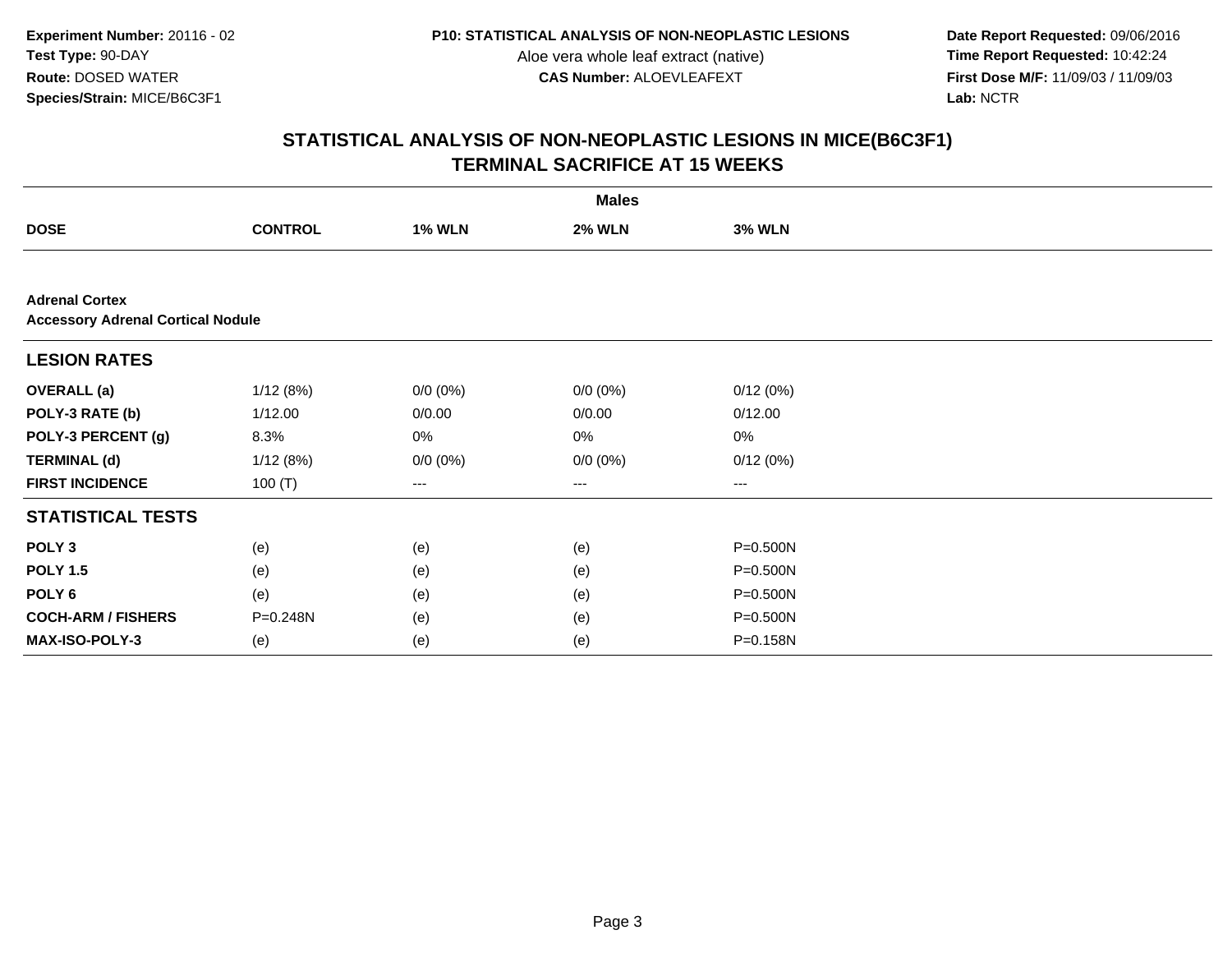**Date Report Requested:** 09/06/2016 **First Dose M/F:** 11/09/03 / 11/09/03<br>Lab: NCTR **Lab:** NCTR

|                                                                   | <b>Males</b>   |               |               |               |  |  |  |  |
|-------------------------------------------------------------------|----------------|---------------|---------------|---------------|--|--|--|--|
| <b>DOSE</b>                                                       | <b>CONTROL</b> | <b>1% WLN</b> | <b>2% WLN</b> | <b>3% WLN</b> |  |  |  |  |
|                                                                   |                |               |               |               |  |  |  |  |
| <b>Adrenal Cortex</b><br><b>Accessory Adrenal Cortical Nodule</b> |                |               |               |               |  |  |  |  |
| <b>LESION RATES</b>                                               |                |               |               |               |  |  |  |  |
| <b>OVERALL</b> (a)                                                | 1/12(8%)       | $0/0 (0\%)$   | $0/0 (0\%)$   | 0/12(0%)      |  |  |  |  |
| POLY-3 RATE (b)                                                   | 1/12.00        | 0/0.00        | 0/0.00        | 0/12.00       |  |  |  |  |
| POLY-3 PERCENT (g)                                                | 8.3%           | 0%            | 0%            | 0%            |  |  |  |  |
| <b>TERMINAL (d)</b>                                               | 1/12(8%)       | $0/0 (0\%)$   | $0/0 (0\%)$   | 0/12(0%)      |  |  |  |  |
| <b>FIRST INCIDENCE</b>                                            | 100 $(T)$      | ---           | $--$          | $--$          |  |  |  |  |
| <b>STATISTICAL TESTS</b>                                          |                |               |               |               |  |  |  |  |
| POLY <sub>3</sub>                                                 | (e)            | (e)           | (e)           | $P = 0.500N$  |  |  |  |  |
| <b>POLY 1.5</b>                                                   | (e)            | (e)           | (e)           | $P = 0.500N$  |  |  |  |  |
| POLY <sub>6</sub>                                                 | (e)            | (e)           | (e)           | P=0.500N      |  |  |  |  |
| <b>COCH-ARM / FISHERS</b>                                         | P=0.248N       | (e)           | (e)           | P=0.500N      |  |  |  |  |
| MAX-ISO-POLY-3                                                    | (e)            | (e)           | (e)           | P=0.158N      |  |  |  |  |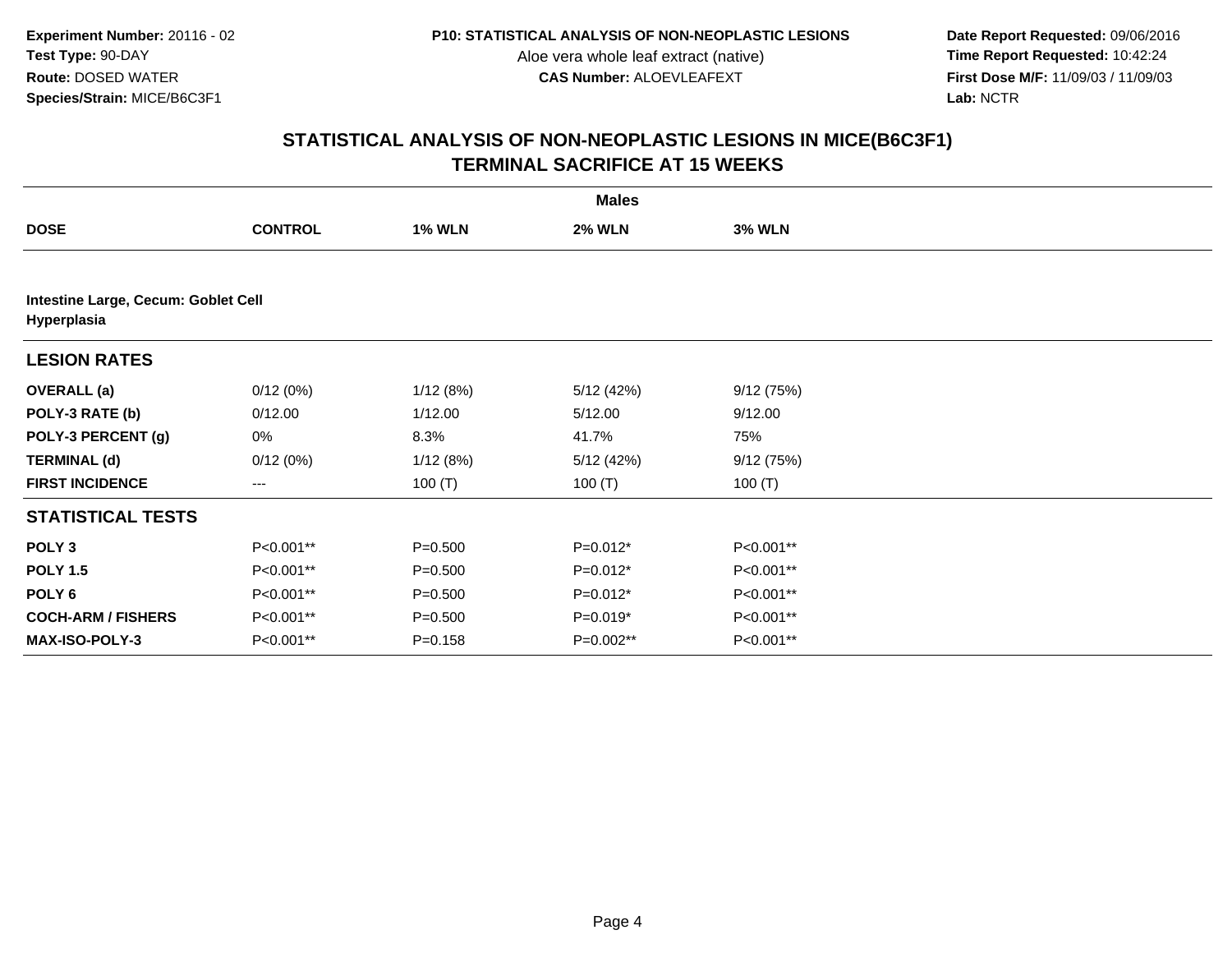**Date Report Requested:** 09/06/2016 **First Dose M/F:** 11/09/03 / 11/09/03<br>Lab: NCTR **Lab:** NCTR

|                           | <b>Males</b>                        |               |               |               |  |  |  |  |  |
|---------------------------|-------------------------------------|---------------|---------------|---------------|--|--|--|--|--|
| <b>DOSE</b>               | <b>CONTROL</b>                      | <b>1% WLN</b> | <b>2% WLN</b> | <b>3% WLN</b> |  |  |  |  |  |
|                           |                                     |               |               |               |  |  |  |  |  |
| Hyperplasia               | Intestine Large, Cecum: Goblet Cell |               |               |               |  |  |  |  |  |
| <b>LESION RATES</b>       |                                     |               |               |               |  |  |  |  |  |
| <b>OVERALL</b> (a)        | 0/12(0%)                            | 1/12(8%)      | 5/12(42%)     | 9/12(75%)     |  |  |  |  |  |
| POLY-3 RATE (b)           | 0/12.00                             | 1/12.00       | 5/12.00       | 9/12.00       |  |  |  |  |  |
| POLY-3 PERCENT (g)        | 0%                                  | 8.3%          | 41.7%         | 75%           |  |  |  |  |  |
| <b>TERMINAL (d)</b>       | 0/12(0%)                            | 1/12(8%)      | 5/12(42%)     | 9/12(75%)     |  |  |  |  |  |
| <b>FIRST INCIDENCE</b>    | ---                                 | 100 $(T)$     | 100 $(T)$     | 100 $(T)$     |  |  |  |  |  |
| <b>STATISTICAL TESTS</b>  |                                     |               |               |               |  |  |  |  |  |
| POLY <sub>3</sub>         | P<0.001**                           | $P = 0.500$   | $P=0.012*$    | P<0.001**     |  |  |  |  |  |
| <b>POLY 1.5</b>           | P<0.001**                           | $P = 0.500$   | $P=0.012*$    | P<0.001**     |  |  |  |  |  |
| POLY <sub>6</sub>         | P<0.001**                           | $P = 0.500$   | $P=0.012*$    | P<0.001**     |  |  |  |  |  |
| <b>COCH-ARM / FISHERS</b> | P<0.001**                           | $P = 0.500$   | $P=0.019*$    | P<0.001**     |  |  |  |  |  |
| <b>MAX-ISO-POLY-3</b>     | P<0.001**                           | $P = 0.158$   | P=0.002**     | P<0.001**     |  |  |  |  |  |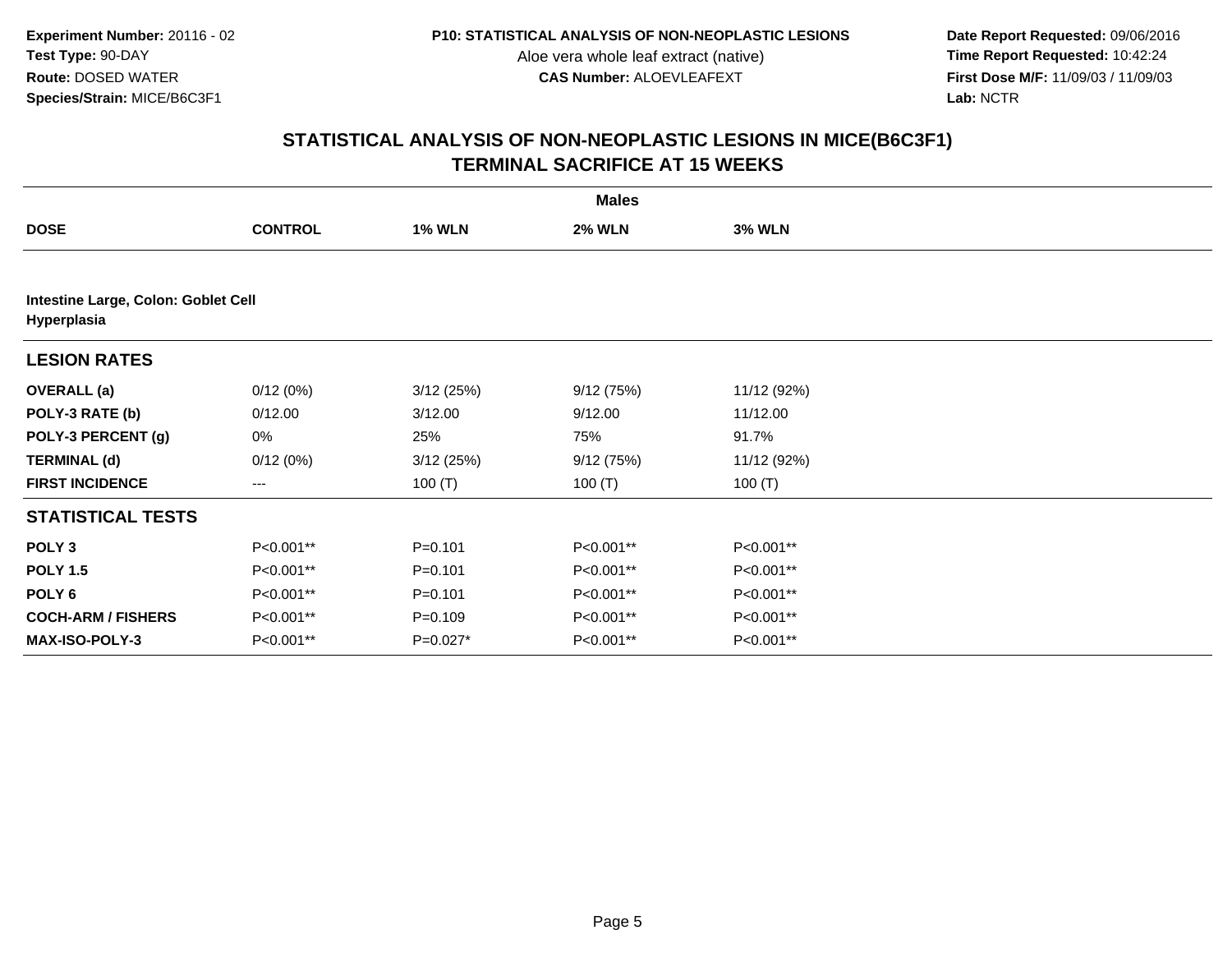**Date Report Requested:** 09/06/2016 **First Dose M/F:** 11/09/03 / 11/09/03<br>Lab: NCTR **Lab:** NCTR

|                                                    | <b>Males</b>   |               |               |               |  |  |  |
|----------------------------------------------------|----------------|---------------|---------------|---------------|--|--|--|
| <b>DOSE</b>                                        | <b>CONTROL</b> | <b>1% WLN</b> | <b>2% WLN</b> | <b>3% WLN</b> |  |  |  |
|                                                    |                |               |               |               |  |  |  |
| Intestine Large, Colon: Goblet Cell<br>Hyperplasia |                |               |               |               |  |  |  |
| <b>LESION RATES</b>                                |                |               |               |               |  |  |  |
| <b>OVERALL (a)</b>                                 | 0/12(0%)       | 3/12(25%)     | 9/12(75%)     | 11/12 (92%)   |  |  |  |
| POLY-3 RATE (b)                                    | 0/12.00        | 3/12.00       | 9/12.00       | 11/12.00      |  |  |  |
| POLY-3 PERCENT (g)                                 | 0%             | 25%           | 75%           | 91.7%         |  |  |  |
| <b>TERMINAL (d)</b>                                | 0/12(0%)       | 3/12(25%)     | 9/12(75%)     | 11/12 (92%)   |  |  |  |
| <b>FIRST INCIDENCE</b>                             | ---            | 100 $(T)$     | 100 $(T)$     | 100 $(T)$     |  |  |  |
| <b>STATISTICAL TESTS</b>                           |                |               |               |               |  |  |  |
| POLY <sub>3</sub>                                  | P<0.001**      | $P=0.101$     | P<0.001**     | P<0.001**     |  |  |  |
| <b>POLY 1.5</b>                                    | P<0.001**      | $P = 0.101$   | P<0.001**     | P<0.001**     |  |  |  |
| POLY 6                                             | P<0.001**      | $P=0.101$     | P<0.001**     | P<0.001**     |  |  |  |
| <b>COCH-ARM / FISHERS</b>                          | P<0.001**      | $P = 0.109$   | P<0.001**     | P<0.001**     |  |  |  |
| <b>MAX-ISO-POLY-3</b>                              | P<0.001**      | P=0.027*      | P<0.001**     | P<0.001**     |  |  |  |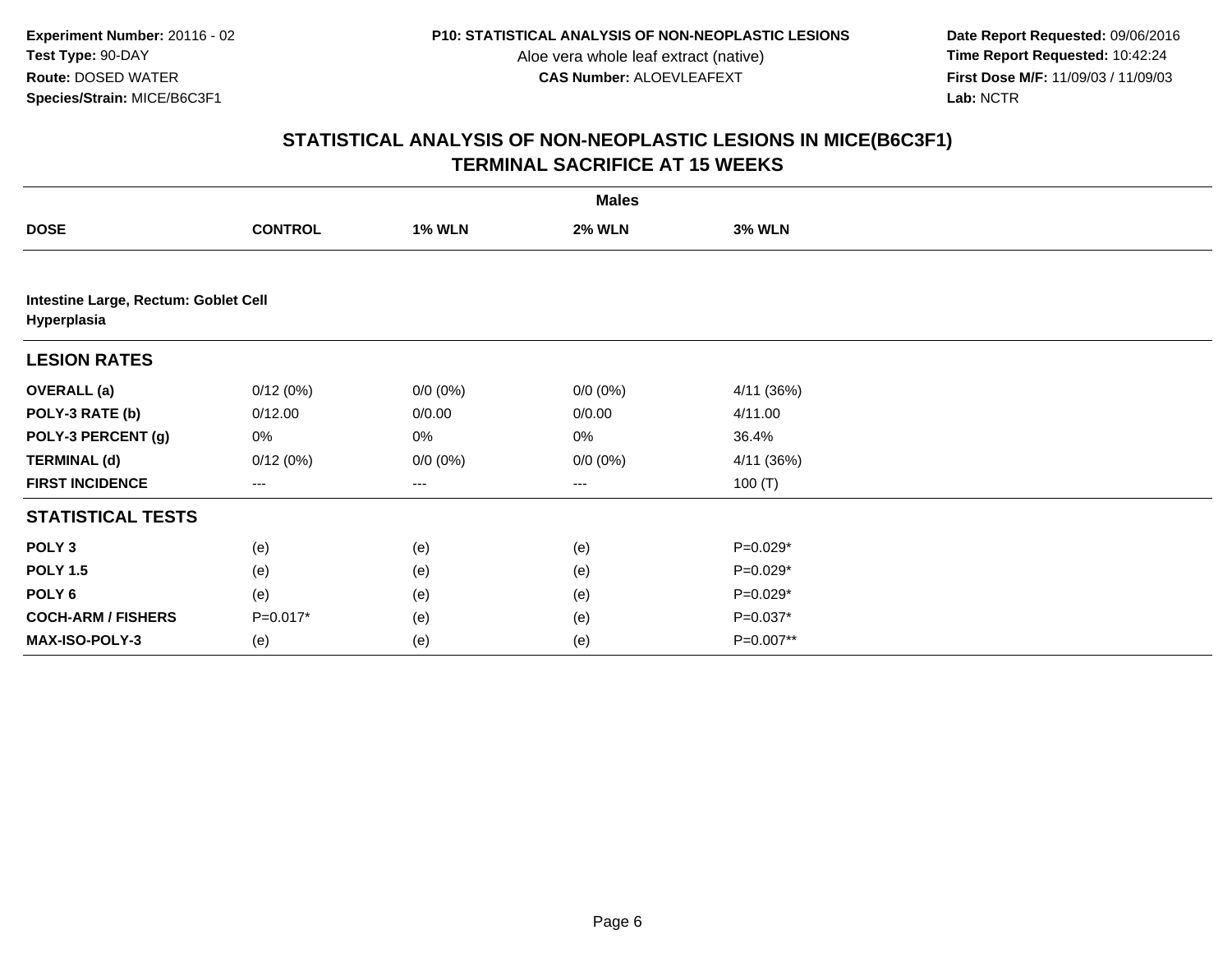**Date Report Requested:** 09/06/2016 **First Dose M/F:** 11/09/03 / 11/09/03<br>Lab: NCTR **Lab:** NCTR

|                           | <b>Males</b>                         |               |               |               |  |  |  |  |  |
|---------------------------|--------------------------------------|---------------|---------------|---------------|--|--|--|--|--|
| <b>DOSE</b>               | <b>CONTROL</b>                       | <b>1% WLN</b> | <b>2% WLN</b> | <b>3% WLN</b> |  |  |  |  |  |
|                           |                                      |               |               |               |  |  |  |  |  |
| Hyperplasia               | Intestine Large, Rectum: Goblet Cell |               |               |               |  |  |  |  |  |
| <b>LESION RATES</b>       |                                      |               |               |               |  |  |  |  |  |
| <b>OVERALL</b> (a)        | 0/12(0%)                             | $0/0 (0\%)$   | $0/0 (0\%)$   | 4/11 (36%)    |  |  |  |  |  |
| POLY-3 RATE (b)           | 0/12.00                              | 0/0.00        | 0/0.00        | 4/11.00       |  |  |  |  |  |
| POLY-3 PERCENT (g)        | 0%                                   | 0%            | 0%            | 36.4%         |  |  |  |  |  |
| <b>TERMINAL (d)</b>       | 0/12(0%)                             | $0/0 (0\%)$   | $0/0 (0\%)$   | 4/11 (36%)    |  |  |  |  |  |
| <b>FIRST INCIDENCE</b>    | ---                                  | ---           | $--$          | 100 $(T)$     |  |  |  |  |  |
| <b>STATISTICAL TESTS</b>  |                                      |               |               |               |  |  |  |  |  |
| POLY <sub>3</sub>         | (e)                                  | (e)           | (e)           | P=0.029*      |  |  |  |  |  |
| <b>POLY 1.5</b>           | (e)                                  | (e)           | (e)           | $P=0.029*$    |  |  |  |  |  |
| POLY <sub>6</sub>         | (e)                                  | (e)           | (e)           | P=0.029*      |  |  |  |  |  |
| <b>COCH-ARM / FISHERS</b> | P=0.017*                             | (e)           | (e)           | P=0.037*      |  |  |  |  |  |
| MAX-ISO-POLY-3            | (e)                                  | (e)           | (e)           | P=0.007**     |  |  |  |  |  |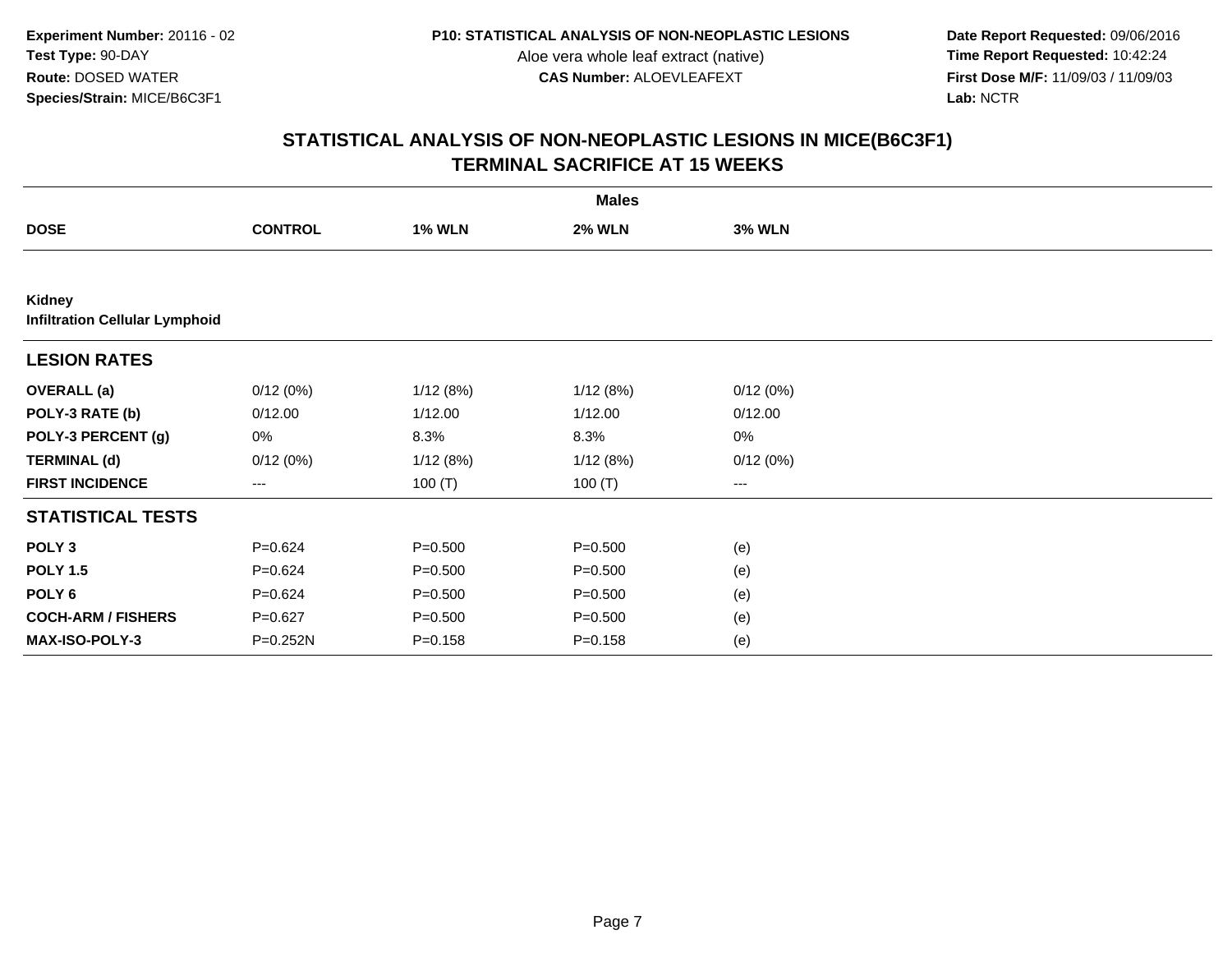**Date Report Requested:** 09/06/2016 **First Dose M/F:** 11/09/03 / 11/09/03<br>Lab: NCTR **Lab:** NCTR

|                                                 | <b>Males</b>   |               |               |               |  |  |  |  |
|-------------------------------------------------|----------------|---------------|---------------|---------------|--|--|--|--|
| <b>DOSE</b>                                     | <b>CONTROL</b> | <b>1% WLN</b> | <b>2% WLN</b> | <b>3% WLN</b> |  |  |  |  |
|                                                 |                |               |               |               |  |  |  |  |
| Kidney<br><b>Infiltration Cellular Lymphoid</b> |                |               |               |               |  |  |  |  |
| <b>LESION RATES</b>                             |                |               |               |               |  |  |  |  |
| <b>OVERALL</b> (a)                              | 0/12(0%)       | 1/12(8%)      | 1/12(8%)      | 0/12(0%)      |  |  |  |  |
| POLY-3 RATE (b)                                 | 0/12.00        | 1/12.00       | 1/12.00       | 0/12.00       |  |  |  |  |
| POLY-3 PERCENT (g)                              | 0%             | 8.3%          | 8.3%          | 0%            |  |  |  |  |
| <b>TERMINAL (d)</b>                             | 0/12(0%)       | 1/12(8%)      | 1/12(8%)      | 0/12(0%)      |  |  |  |  |
| <b>FIRST INCIDENCE</b>                          | $---$          | 100 $(T)$     | 100(T)        | $---$         |  |  |  |  |
| <b>STATISTICAL TESTS</b>                        |                |               |               |               |  |  |  |  |
| POLY <sub>3</sub>                               | $P = 0.624$    | $P = 0.500$   | $P = 0.500$   | (e)           |  |  |  |  |
| <b>POLY 1.5</b>                                 | $P = 0.624$    | $P = 0.500$   | $P = 0.500$   | (e)           |  |  |  |  |
| POLY <sub>6</sub>                               | $P = 0.624$    | $P = 0.500$   | $P = 0.500$   | (e)           |  |  |  |  |
| <b>COCH-ARM / FISHERS</b>                       | $P=0.627$      | $P = 0.500$   | $P = 0.500$   | (e)           |  |  |  |  |
| <b>MAX-ISO-POLY-3</b>                           | P=0.252N       | $P = 0.158$   | $P = 0.158$   | (e)           |  |  |  |  |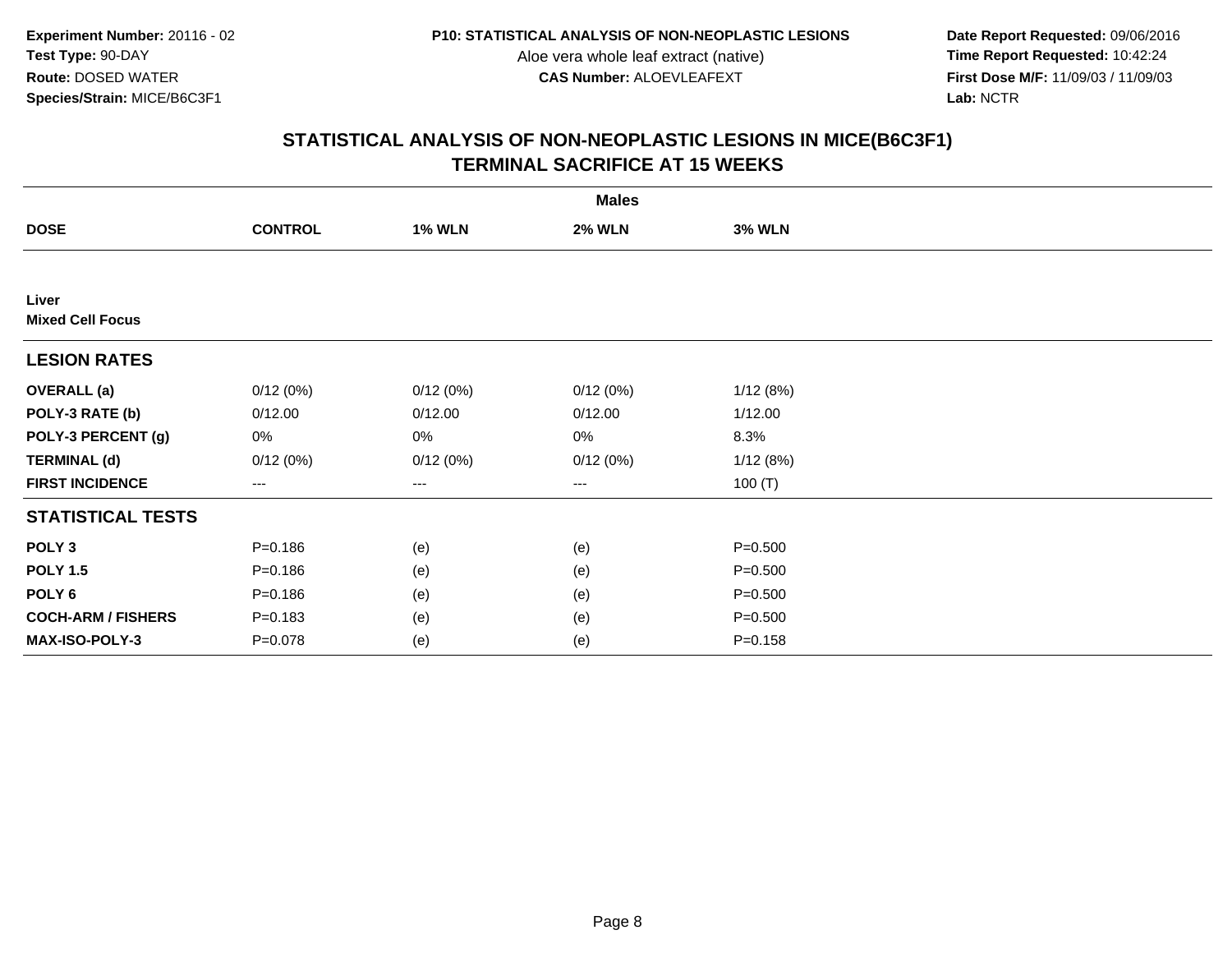**Date Report Requested:** 09/06/2016 **First Dose M/F:** 11/09/03 / 11/09/03<br>Lab: NCTR **Lab:** NCTR

|                                  | <b>Males</b>      |               |               |               |  |  |  |  |
|----------------------------------|-------------------|---------------|---------------|---------------|--|--|--|--|
| <b>DOSE</b>                      | <b>CONTROL</b>    | <b>1% WLN</b> | <b>2% WLN</b> | <b>3% WLN</b> |  |  |  |  |
|                                  |                   |               |               |               |  |  |  |  |
| Liver<br><b>Mixed Cell Focus</b> |                   |               |               |               |  |  |  |  |
| <b>LESION RATES</b>              |                   |               |               |               |  |  |  |  |
| <b>OVERALL</b> (a)               | 0/12(0%)          | 0/12(0%)      | 0/12(0%)      | 1/12(8%)      |  |  |  |  |
| POLY-3 RATE (b)                  | 0/12.00           | 0/12.00       | 0/12.00       | 1/12.00       |  |  |  |  |
| POLY-3 PERCENT (g)               | 0%                | 0%            | 0%            | 8.3%          |  |  |  |  |
| <b>TERMINAL (d)</b>              | 0/12(0%)          | 0/12(0%)      | 0/12(0%)      | 1/12(8%)      |  |  |  |  |
| <b>FIRST INCIDENCE</b>           | $\qquad \qquad -$ | ---           | ---           | 100 $(T)$     |  |  |  |  |
| <b>STATISTICAL TESTS</b>         |                   |               |               |               |  |  |  |  |
| POLY <sub>3</sub>                | $P = 0.186$       | (e)           | (e)           | $P = 0.500$   |  |  |  |  |
| <b>POLY 1.5</b>                  | $P = 0.186$       | (e)           | (e)           | $P = 0.500$   |  |  |  |  |
| POLY <sub>6</sub>                | $P = 0.186$       | (e)           | (e)           | $P = 0.500$   |  |  |  |  |
| <b>COCH-ARM / FISHERS</b>        | $P = 0.183$       | (e)           | (e)           | $P = 0.500$   |  |  |  |  |
| MAX-ISO-POLY-3                   | $P = 0.078$       | (e)           | (e)           | $P = 0.158$   |  |  |  |  |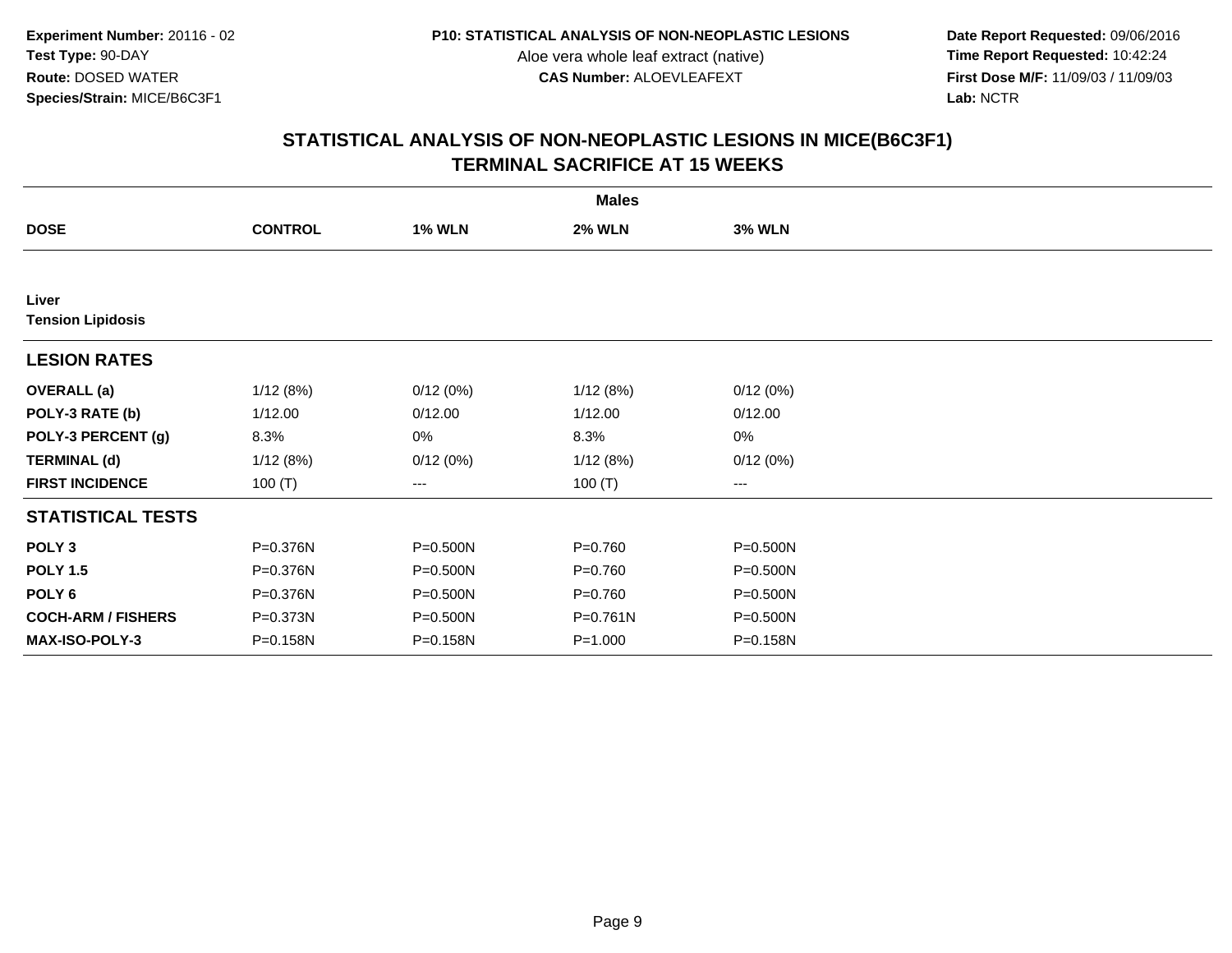**Date Report Requested:** 09/06/2016 **First Dose M/F:** 11/09/03 / 11/09/03<br>Lab: NCTR **Lab:** NCTR

|                                   | <b>Males</b>   |               |               |               |  |  |  |  |
|-----------------------------------|----------------|---------------|---------------|---------------|--|--|--|--|
| <b>DOSE</b>                       | <b>CONTROL</b> | <b>1% WLN</b> | <b>2% WLN</b> | <b>3% WLN</b> |  |  |  |  |
|                                   |                |               |               |               |  |  |  |  |
| Liver<br><b>Tension Lipidosis</b> |                |               |               |               |  |  |  |  |
| <b>LESION RATES</b>               |                |               |               |               |  |  |  |  |
| <b>OVERALL</b> (a)                | 1/12(8%)       | 0/12(0%)      | 1/12(8%)      | 0/12(0%)      |  |  |  |  |
| POLY-3 RATE (b)                   | 1/12.00        | 0/12.00       | 1/12.00       | 0/12.00       |  |  |  |  |
| POLY-3 PERCENT (g)                | 8.3%           | 0%            | 8.3%          | 0%            |  |  |  |  |
| <b>TERMINAL (d)</b>               | 1/12(8%)       | 0/12(0%)      | 1/12(8%)      | 0/12(0%)      |  |  |  |  |
| <b>FIRST INCIDENCE</b>            | 100 $(T)$      | ---           | 100 $(T)$     | $--$          |  |  |  |  |
| <b>STATISTICAL TESTS</b>          |                |               |               |               |  |  |  |  |
| POLY <sub>3</sub>                 | P=0.376N       | P=0.500N      | $P = 0.760$   | P=0.500N      |  |  |  |  |
| <b>POLY 1.5</b>                   | P=0.376N       | P=0.500N      | $P = 0.760$   | P=0.500N      |  |  |  |  |
| POLY 6                            | P=0.376N       | P=0.500N      | $P = 0.760$   | P=0.500N      |  |  |  |  |
| <b>COCH-ARM / FISHERS</b>         | P=0.373N       | P=0.500N      | $P = 0.761N$  | P=0.500N      |  |  |  |  |
| MAX-ISO-POLY-3                    | P=0.158N       | P=0.158N      | $P = 1.000$   | P=0.158N      |  |  |  |  |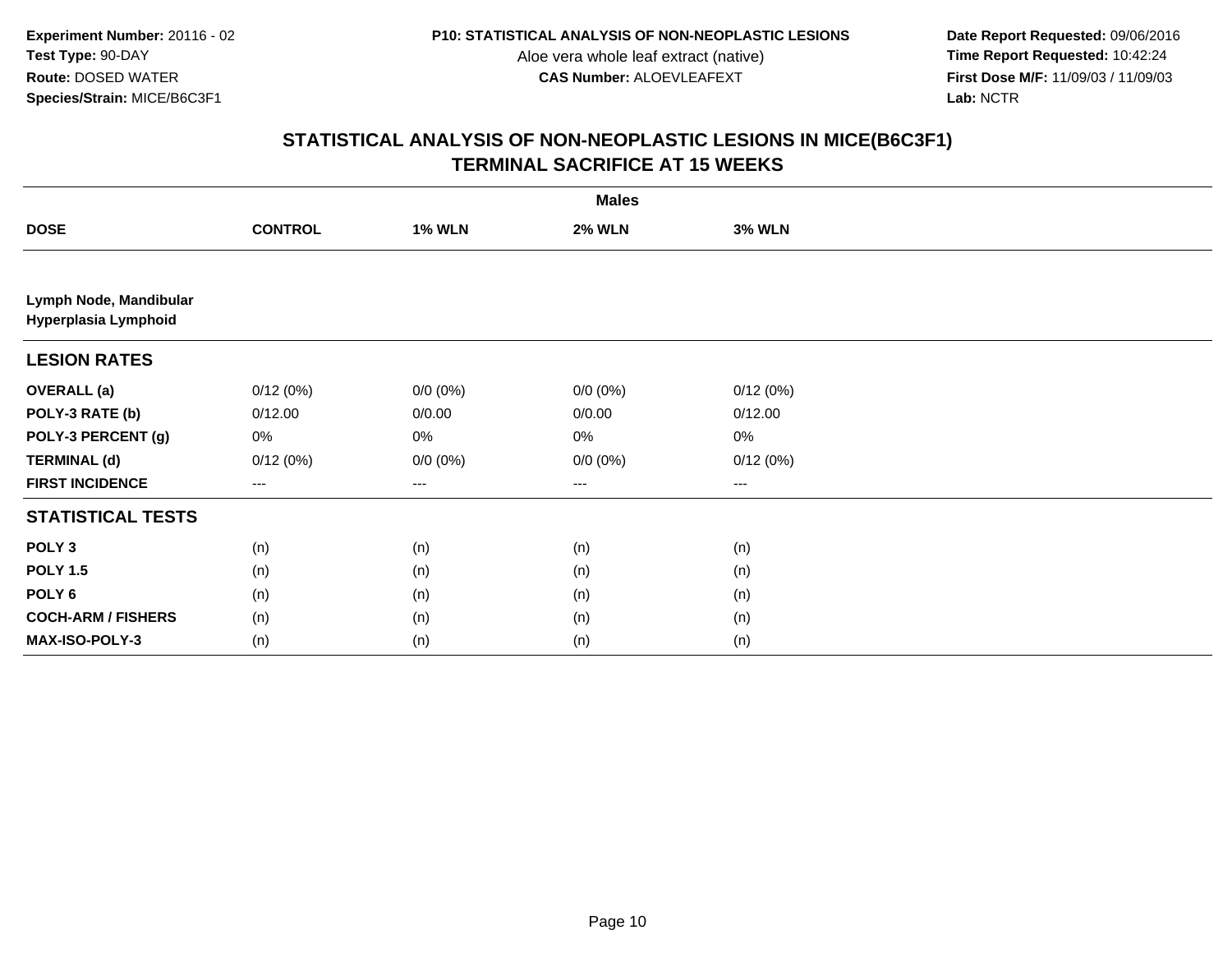**Date Report Requested:** 09/06/2016 **First Dose M/F:** 11/09/03 / 11/09/03<br>Lab: NCTR **Lab:** NCTR

|                                                | <b>Males</b>   |               |               |               |  |  |  |  |
|------------------------------------------------|----------------|---------------|---------------|---------------|--|--|--|--|
| <b>DOSE</b>                                    | <b>CONTROL</b> | <b>1% WLN</b> | <b>2% WLN</b> | <b>3% WLN</b> |  |  |  |  |
|                                                |                |               |               |               |  |  |  |  |
| Lymph Node, Mandibular<br>Hyperplasia Lymphoid |                |               |               |               |  |  |  |  |
| <b>LESION RATES</b>                            |                |               |               |               |  |  |  |  |
| <b>OVERALL (a)</b>                             | 0/12(0%)       | $0/0 (0\%)$   | $0/0 (0\%)$   | 0/12(0%)      |  |  |  |  |
| POLY-3 RATE (b)                                | 0/12.00        | 0/0.00        | 0/0.00        | 0/12.00       |  |  |  |  |
| POLY-3 PERCENT (g)                             | 0%             | 0%            | $0\%$         | $0\%$         |  |  |  |  |
| <b>TERMINAL (d)</b>                            | 0/12(0%)       | $0/0 (0\%)$   | $0/0 (0\%)$   | 0/12(0%)      |  |  |  |  |
| <b>FIRST INCIDENCE</b>                         | $--$           | $--$          | $--$          | ---           |  |  |  |  |
| <b>STATISTICAL TESTS</b>                       |                |               |               |               |  |  |  |  |
| POLY <sub>3</sub>                              | (n)            | (n)           | (n)           | (n)           |  |  |  |  |
| <b>POLY 1.5</b>                                | (n)            | (n)           | (n)           | (n)           |  |  |  |  |
| POLY <sub>6</sub>                              | (n)            | (n)           | (n)           | (n)           |  |  |  |  |
| <b>COCH-ARM / FISHERS</b>                      | (n)            | (n)           | (n)           | (n)           |  |  |  |  |
| MAX-ISO-POLY-3                                 | (n)            | (n)           | (n)           | (n)           |  |  |  |  |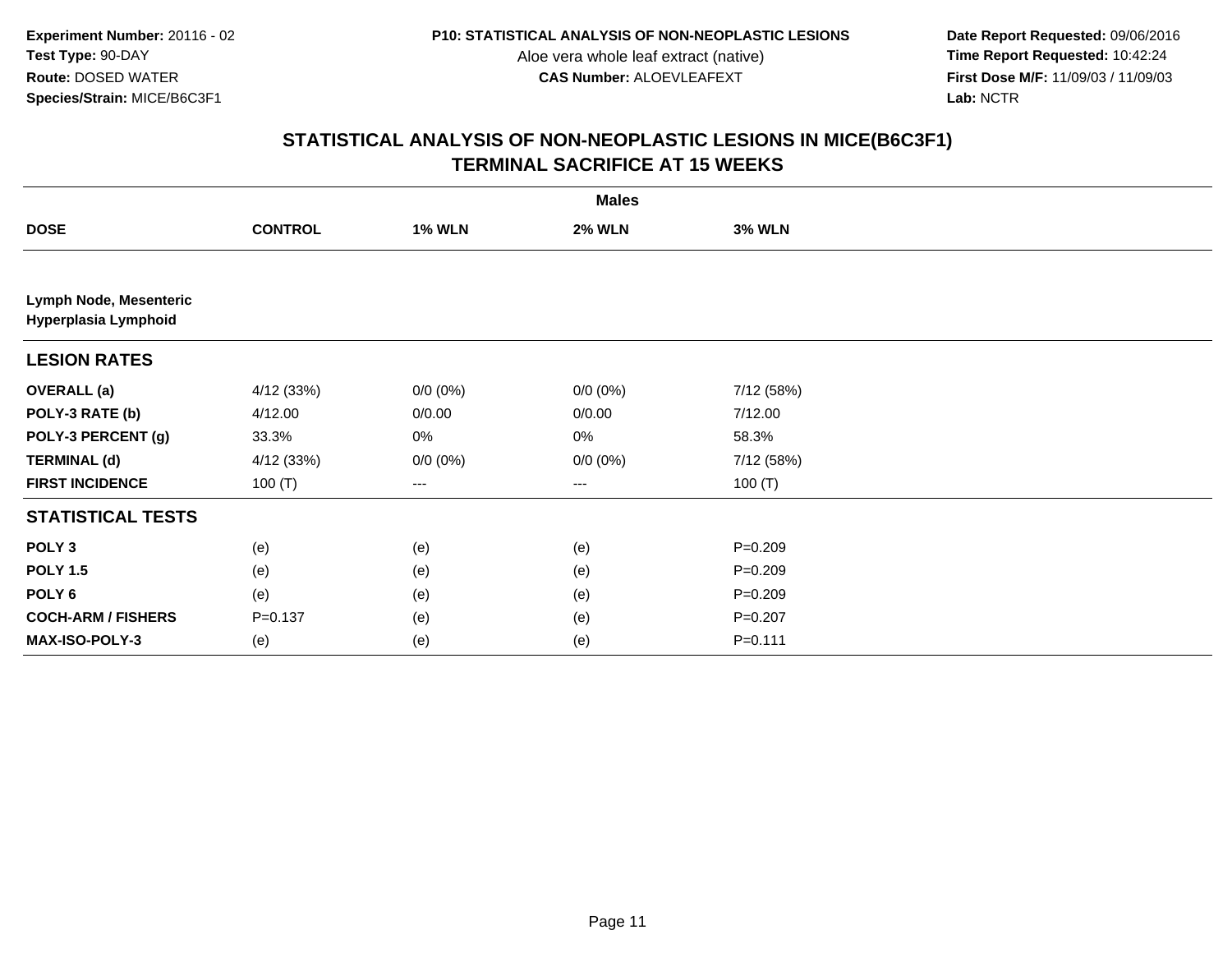**Date Report Requested:** 09/06/2016 **First Dose M/F:** 11/09/03 / 11/09/03<br>Lab: NCTR **Lab:** NCTR

|                                                |                |               | <b>Males</b>  |               |  |
|------------------------------------------------|----------------|---------------|---------------|---------------|--|
| <b>DOSE</b>                                    | <b>CONTROL</b> | <b>1% WLN</b> | <b>2% WLN</b> | <b>3% WLN</b> |  |
|                                                |                |               |               |               |  |
| Lymph Node, Mesenteric<br>Hyperplasia Lymphoid |                |               |               |               |  |
| <b>LESION RATES</b>                            |                |               |               |               |  |
| <b>OVERALL (a)</b>                             | 4/12 (33%)     | $0/0 (0\%)$   | $0/0 (0\%)$   | 7/12 (58%)    |  |
| POLY-3 RATE (b)                                | 4/12.00        | 0/0.00        | 0/0.00        | 7/12.00       |  |
| POLY-3 PERCENT (g)                             | 33.3%          | 0%            | 0%            | 58.3%         |  |
| <b>TERMINAL (d)</b>                            | 4/12 (33%)     | $0/0 (0\%)$   | $0/0 (0\%)$   | 7/12 (58%)    |  |
| <b>FIRST INCIDENCE</b>                         | 100 $(T)$      | $--$          | $--$          | 100 $(T)$     |  |
| <b>STATISTICAL TESTS</b>                       |                |               |               |               |  |
| POLY <sub>3</sub>                              | (e)            | (e)           | (e)           | $P = 0.209$   |  |
| <b>POLY 1.5</b>                                | (e)            | (e)           | (e)           | $P = 0.209$   |  |
| POLY <sub>6</sub>                              | (e)            | (e)           | (e)           | $P = 0.209$   |  |
| <b>COCH-ARM / FISHERS</b>                      | $P = 0.137$    | (e)           | (e)           | $P = 0.207$   |  |
| MAX-ISO-POLY-3                                 | (e)            | (e)           | (e)           | $P = 0.111$   |  |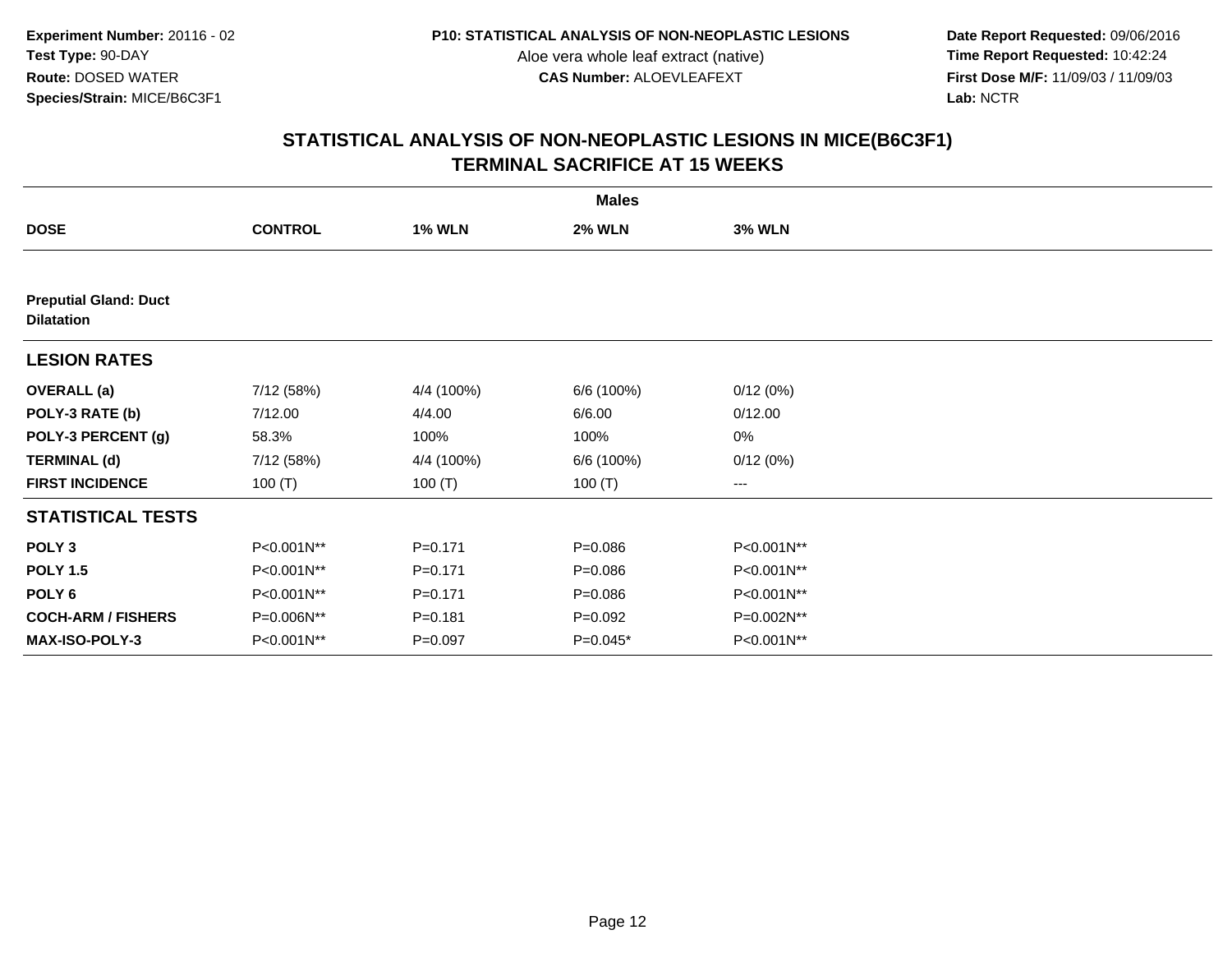**Date Report Requested:** 09/06/2016 **First Dose M/F:** 11/09/03 / 11/09/03<br>Lab: NCTR **Lab:** NCTR

|                                                   | <b>Males</b>   |               |               |               |  |  |  |  |
|---------------------------------------------------|----------------|---------------|---------------|---------------|--|--|--|--|
| <b>DOSE</b>                                       | <b>CONTROL</b> | <b>1% WLN</b> | <b>2% WLN</b> | <b>3% WLN</b> |  |  |  |  |
|                                                   |                |               |               |               |  |  |  |  |
| <b>Preputial Gland: Duct</b><br><b>Dilatation</b> |                |               |               |               |  |  |  |  |
| <b>LESION RATES</b>                               |                |               |               |               |  |  |  |  |
| <b>OVERALL</b> (a)                                | 7/12 (58%)     | 4/4 (100%)    | 6/6 (100%)    | 0/12(0%)      |  |  |  |  |
| POLY-3 RATE (b)                                   | 7/12.00        | 4/4.00        | 6/6.00        | 0/12.00       |  |  |  |  |
| POLY-3 PERCENT (g)                                | 58.3%          | 100%          | 100%          | 0%            |  |  |  |  |
| <b>TERMINAL (d)</b>                               | 7/12 (58%)     | 4/4 (100%)    | 6/6 (100%)    | 0/12(0%)      |  |  |  |  |
| <b>FIRST INCIDENCE</b>                            | 100 $(T)$      | 100 $(T)$     | 100 $(T)$     | ---           |  |  |  |  |
| <b>STATISTICAL TESTS</b>                          |                |               |               |               |  |  |  |  |
| POLY <sub>3</sub>                                 | P<0.001N**     | $P = 0.171$   | $P = 0.086$   | P<0.001N**    |  |  |  |  |
| <b>POLY 1.5</b>                                   | P<0.001N**     | $P = 0.171$   | $P = 0.086$   | P<0.001N**    |  |  |  |  |
| POLY 6                                            | P<0.001N**     | $P = 0.171$   | $P = 0.086$   | P<0.001N**    |  |  |  |  |
| <b>COCH-ARM / FISHERS</b>                         | P=0.006N**     | $P = 0.181$   | $P=0.092$     | P=0.002N**    |  |  |  |  |
| MAX-ISO-POLY-3                                    | P<0.001N**     | $P = 0.097$   | $P=0.045*$    | P<0.001N**    |  |  |  |  |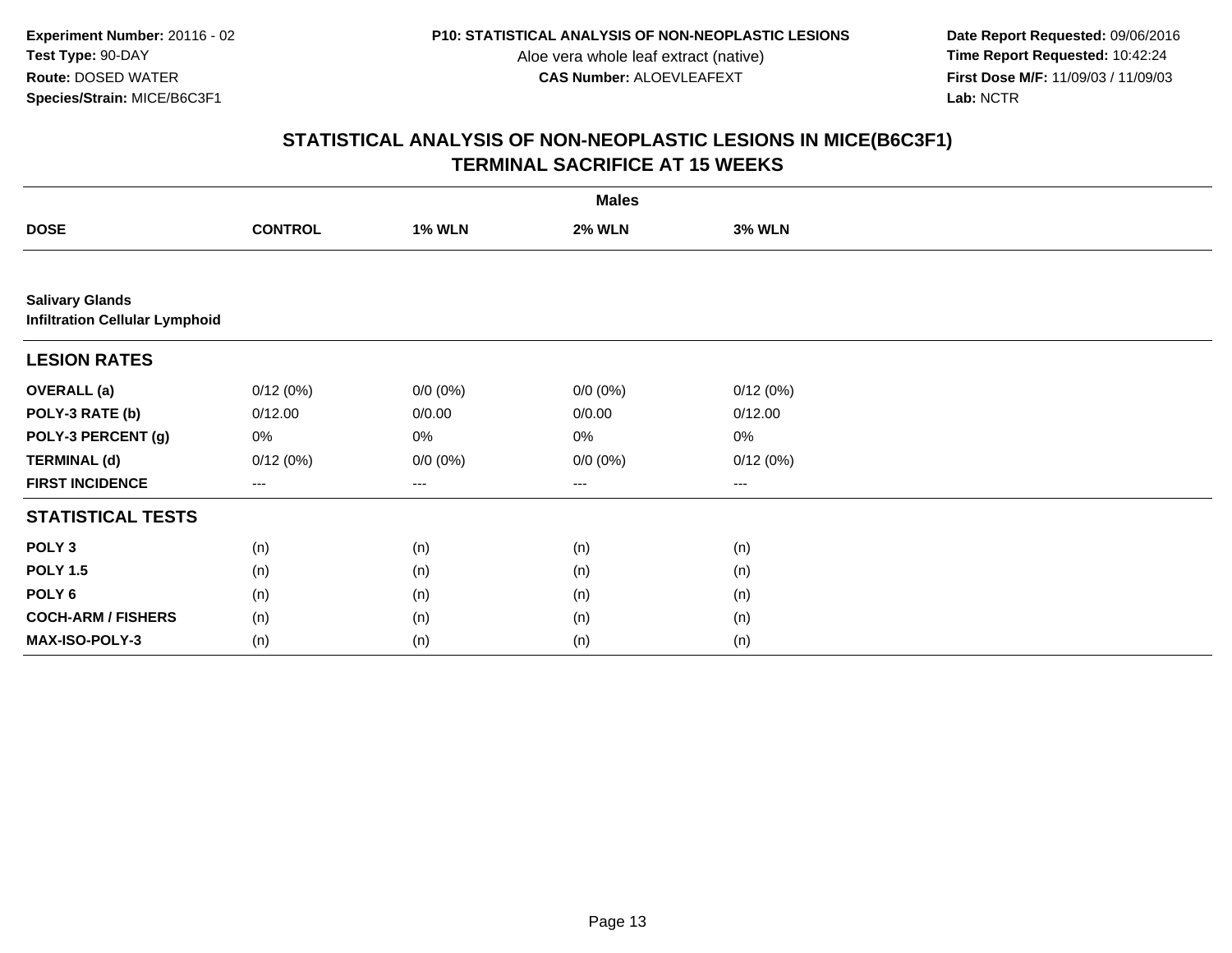**Date Report Requested:** 09/06/2016 **First Dose M/F:** 11/09/03 / 11/09/03<br>Lab: NCTR **Lab:** NCTR

|                                                                 | <b>Males</b>   |               |               |               |  |  |  |
|-----------------------------------------------------------------|----------------|---------------|---------------|---------------|--|--|--|
| <b>DOSE</b>                                                     | <b>CONTROL</b> | <b>1% WLN</b> | <b>2% WLN</b> | <b>3% WLN</b> |  |  |  |
|                                                                 |                |               |               |               |  |  |  |
| <b>Salivary Glands</b><br><b>Infiltration Cellular Lymphoid</b> |                |               |               |               |  |  |  |
| <b>LESION RATES</b>                                             |                |               |               |               |  |  |  |
| <b>OVERALL</b> (a)                                              | 0/12(0%)       | $0/0 (0\%)$   | $0/0 (0\%)$   | 0/12(0%)      |  |  |  |
| POLY-3 RATE (b)                                                 | 0/12.00        | 0/0.00        | 0/0.00        | 0/12.00       |  |  |  |
| POLY-3 PERCENT (g)                                              | 0%             | 0%            | 0%            | 0%            |  |  |  |
| <b>TERMINAL (d)</b>                                             | 0/12(0%)       | $0/0 (0\%)$   | $0/0 (0\%)$   | 0/12(0%)      |  |  |  |
| <b>FIRST INCIDENCE</b>                                          | $\cdots$       | $\cdots$      | $\cdots$      | ---           |  |  |  |
| <b>STATISTICAL TESTS</b>                                        |                |               |               |               |  |  |  |
| POLY <sub>3</sub>                                               | (n)            | (n)           | (n)           | (n)           |  |  |  |
| <b>POLY 1.5</b>                                                 | (n)            | (n)           | (n)           | (n)           |  |  |  |
| POLY 6                                                          | (n)            | (n)           | (n)           | (n)           |  |  |  |
| <b>COCH-ARM / FISHERS</b>                                       | (n)            | (n)           | (n)           | (n)           |  |  |  |
| MAX-ISO-POLY-3                                                  | (n)            | (n)           | (n)           | (n)           |  |  |  |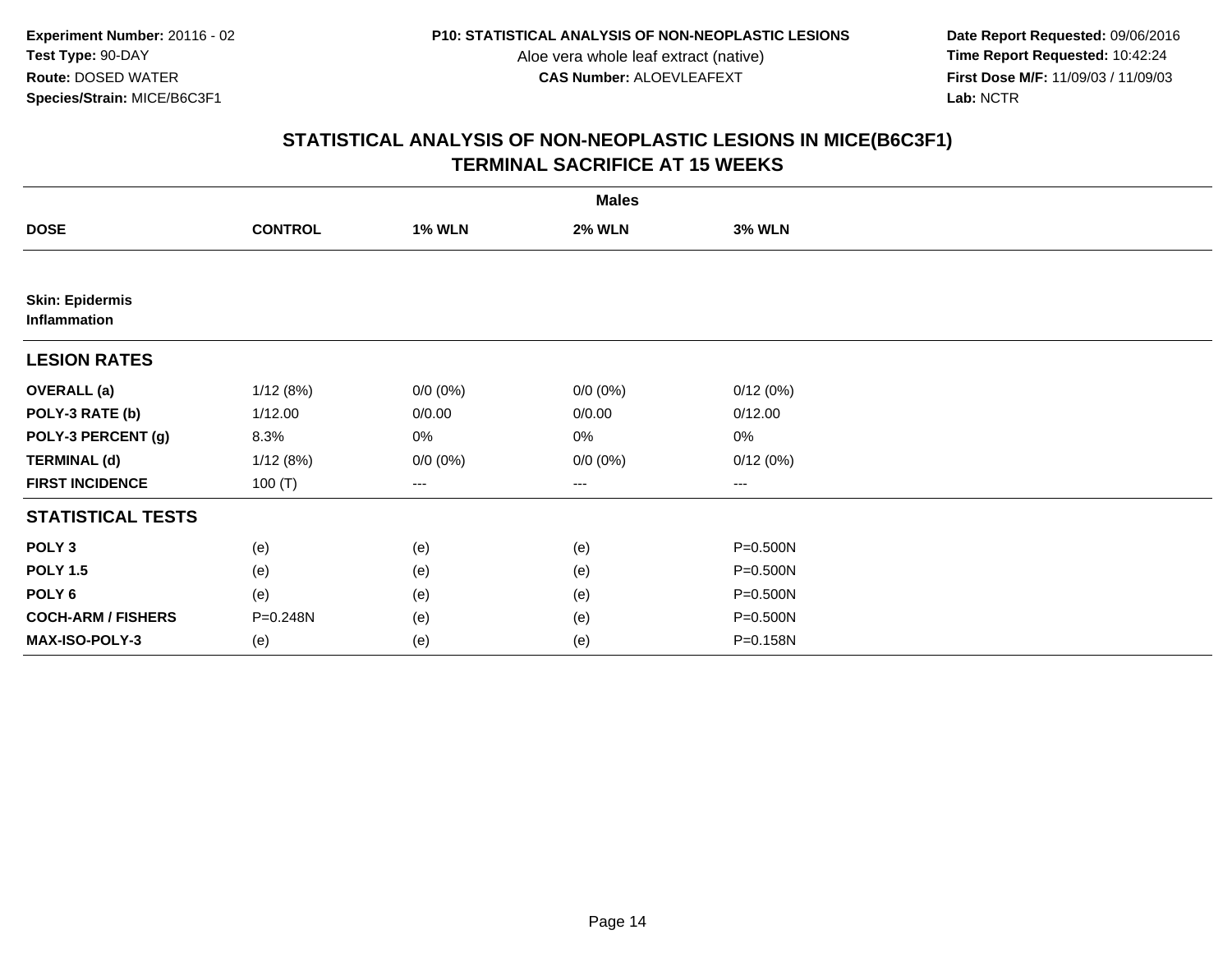**Date Report Requested:** 09/06/2016 **First Dose M/F:** 11/09/03 / 11/09/03<br>Lab: NCTR **Lab:** NCTR

|                                        |                |               | <b>Males</b>  |               |  |
|----------------------------------------|----------------|---------------|---------------|---------------|--|
| <b>DOSE</b>                            | <b>CONTROL</b> | <b>1% WLN</b> | <b>2% WLN</b> | <b>3% WLN</b> |  |
|                                        |                |               |               |               |  |
| <b>Skin: Epidermis</b><br>Inflammation |                |               |               |               |  |
| <b>LESION RATES</b>                    |                |               |               |               |  |
| <b>OVERALL</b> (a)                     | 1/12(8%)       | $0/0 (0\%)$   | $0/0 (0\%)$   | 0/12(0%)      |  |
| POLY-3 RATE (b)                        | 1/12.00        | 0/0.00        | 0/0.00        | 0/12.00       |  |
| POLY-3 PERCENT (g)                     | 8.3%           | 0%            | 0%            | 0%            |  |
| <b>TERMINAL (d)</b>                    | 1/12(8%)       | $0/0 (0\%)$   | $0/0 (0\%)$   | 0/12(0%)      |  |
| <b>FIRST INCIDENCE</b>                 | 100 $(T)$      | ---           | ---           | $--$          |  |
| <b>STATISTICAL TESTS</b>               |                |               |               |               |  |
| POLY <sub>3</sub>                      | (e)            | (e)           | (e)           | P=0.500N      |  |
| <b>POLY 1.5</b>                        | (e)            | (e)           | (e)           | P=0.500N      |  |
| POLY <sub>6</sub>                      | (e)            | (e)           | (e)           | P=0.500N      |  |
| <b>COCH-ARM / FISHERS</b>              | P=0.248N       | (e)           | (e)           | P=0.500N      |  |
| MAX-ISO-POLY-3                         | (e)            | (e)           | (e)           | P=0.158N      |  |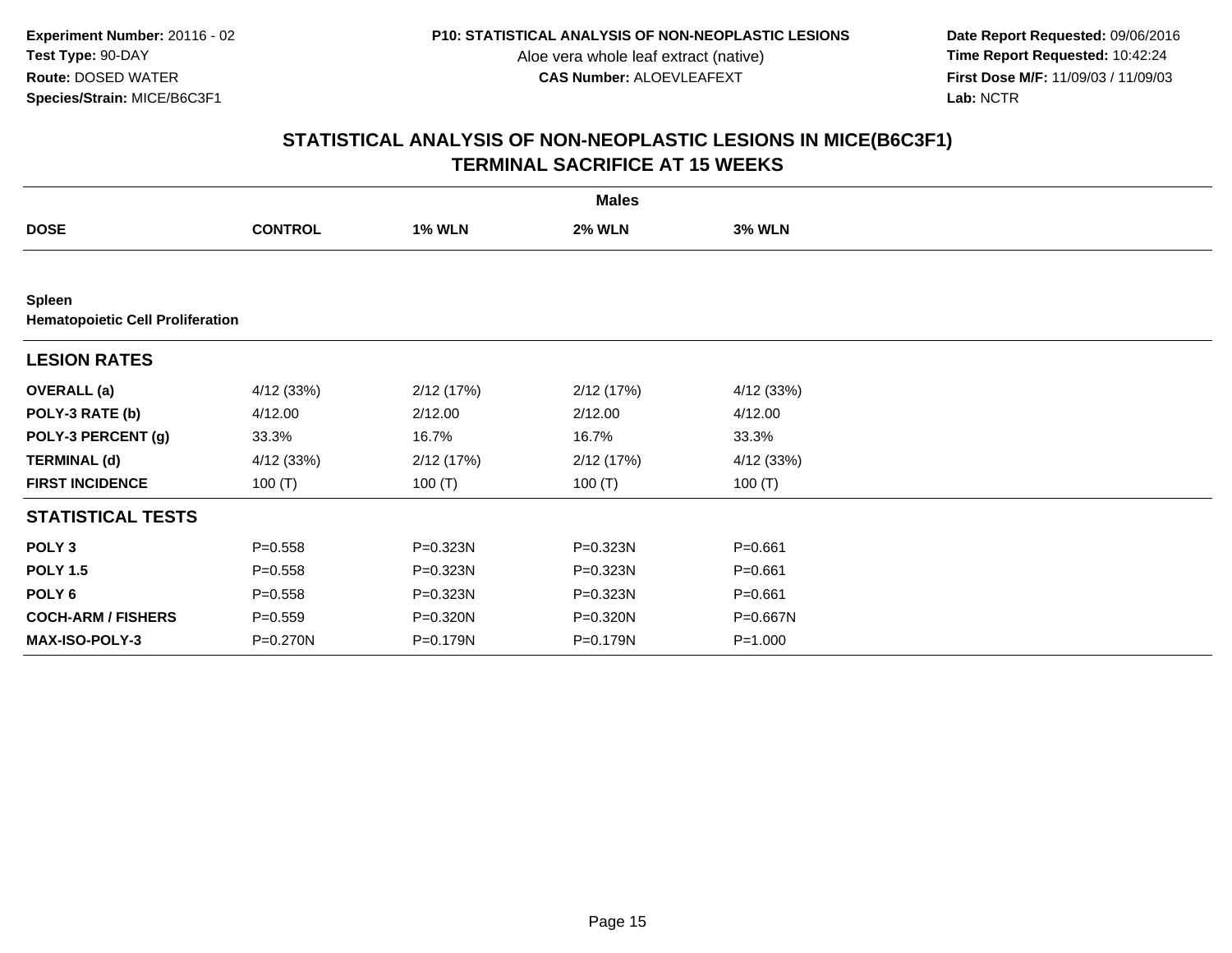**Date Report Requested:** 09/06/2016 **First Dose M/F:** 11/09/03 / 11/09/03<br>Lab: NCTR **Lab:** NCTR

|                                                   |                |               | <b>Males</b>  |               |  |
|---------------------------------------------------|----------------|---------------|---------------|---------------|--|
| <b>DOSE</b>                                       | <b>CONTROL</b> | <b>1% WLN</b> | <b>2% WLN</b> | <b>3% WLN</b> |  |
|                                                   |                |               |               |               |  |
| Spleen<br><b>Hematopoietic Cell Proliferation</b> |                |               |               |               |  |
| <b>LESION RATES</b>                               |                |               |               |               |  |
| <b>OVERALL</b> (a)                                | 4/12 (33%)     | 2/12 (17%)    | 2/12(17%)     | 4/12 (33%)    |  |
| POLY-3 RATE (b)                                   | 4/12.00        | 2/12.00       | 2/12.00       | 4/12.00       |  |
| POLY-3 PERCENT (g)                                | 33.3%          | 16.7%         | 16.7%         | 33.3%         |  |
| <b>TERMINAL (d)</b>                               | 4/12 (33%)     | 2/12(17%)     | 2/12(17%)     | 4/12 (33%)    |  |
| <b>FIRST INCIDENCE</b>                            | 100 $(T)$      | 100 $(T)$     | 100 $(T)$     | 100 $(T)$     |  |
| <b>STATISTICAL TESTS</b>                          |                |               |               |               |  |
| POLY <sub>3</sub>                                 | $P = 0.558$    | P=0.323N      | P=0.323N      | $P = 0.661$   |  |
| <b>POLY 1.5</b>                                   | $P = 0.558$    | P=0.323N      | P=0.323N      | $P = 0.661$   |  |
| POLY <sub>6</sub>                                 | $P = 0.558$    | P=0.323N      | P=0.323N      | $P = 0.661$   |  |
| <b>COCH-ARM / FISHERS</b>                         | $P = 0.559$    | P=0.320N      | P=0.320N      | P=0.667N      |  |
| <b>MAX-ISO-POLY-3</b>                             | $P = 0.270N$   | $P = 0.179N$  | $P = 0.179N$  | $P = 1.000$   |  |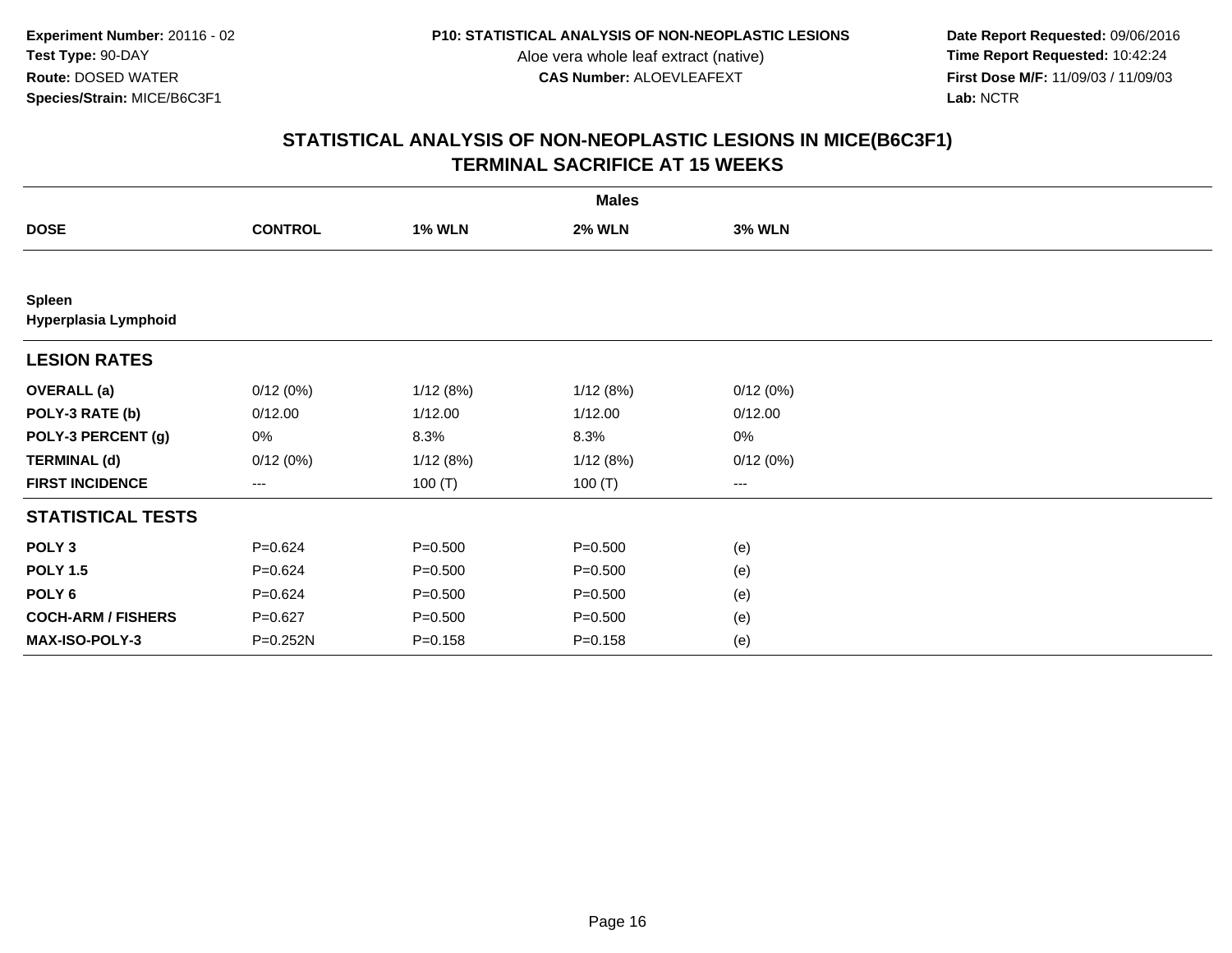**Date Report Requested:** 09/06/2016 **First Dose M/F:** 11/09/03 / 11/09/03<br>Lab: NCTR **Lab:** NCTR

| <b>Males</b>                   |                |               |               |               |  |  |  |
|--------------------------------|----------------|---------------|---------------|---------------|--|--|--|
| <b>DOSE</b>                    | <b>CONTROL</b> | <b>1% WLN</b> | <b>2% WLN</b> | <b>3% WLN</b> |  |  |  |
|                                |                |               |               |               |  |  |  |
| Spleen<br>Hyperplasia Lymphoid |                |               |               |               |  |  |  |
| <b>LESION RATES</b>            |                |               |               |               |  |  |  |
| <b>OVERALL</b> (a)             | 0/12(0%)       | 1/12(8%)      | 1/12(8%)      | 0/12(0%)      |  |  |  |
| POLY-3 RATE (b)                | 0/12.00        | 1/12.00       | 1/12.00       | 0/12.00       |  |  |  |
| POLY-3 PERCENT (g)             | 0%             | 8.3%          | 8.3%          | 0%            |  |  |  |
| <b>TERMINAL (d)</b>            | 0/12(0%)       | 1/12(8%)      | 1/12(8%)      | 0/12(0%)      |  |  |  |
| <b>FIRST INCIDENCE</b>         | $--$           | 100 $(T)$     | 100(T)        | $---$         |  |  |  |
| <b>STATISTICAL TESTS</b>       |                |               |               |               |  |  |  |
| POLY <sub>3</sub>              | $P = 0.624$    | $P = 0.500$   | $P = 0.500$   | (e)           |  |  |  |
| <b>POLY 1.5</b>                | $P = 0.624$    | $P = 0.500$   | $P = 0.500$   | (e)           |  |  |  |
| POLY <sub>6</sub>              | $P = 0.624$    | $P = 0.500$   | $P = 0.500$   | (e)           |  |  |  |
| <b>COCH-ARM / FISHERS</b>      | $P=0.627$      | $P = 0.500$   | $P = 0.500$   | (e)           |  |  |  |
| <b>MAX-ISO-POLY-3</b>          | P=0.252N       | $P = 0.158$   | $P = 0.158$   | (e)           |  |  |  |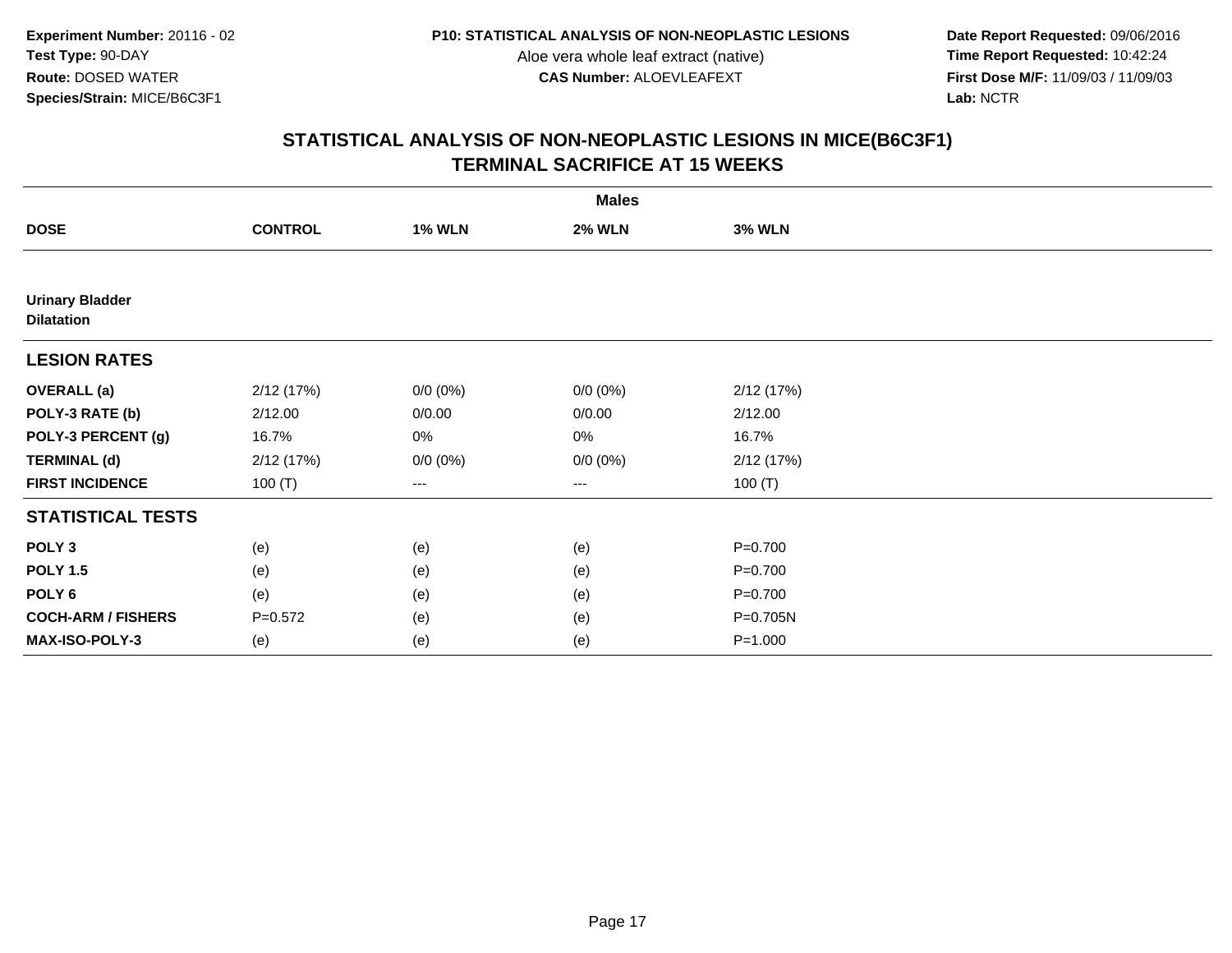**Date Report Requested:** 09/06/2016 **First Dose M/F:** 11/09/03 / 11/09/03<br>Lab: NCTR **Lab:** NCTR

|                                             |                |               | <b>Males</b>  |               |  |
|---------------------------------------------|----------------|---------------|---------------|---------------|--|
| <b>DOSE</b>                                 | <b>CONTROL</b> | <b>1% WLN</b> | <b>2% WLN</b> | <b>3% WLN</b> |  |
|                                             |                |               |               |               |  |
| <b>Urinary Bladder</b><br><b>Dilatation</b> |                |               |               |               |  |
| <b>LESION RATES</b>                         |                |               |               |               |  |
| <b>OVERALL</b> (a)                          | 2/12 (17%)     | $0/0 (0\%)$   | $0/0 (0\%)$   | 2/12(17%)     |  |
| POLY-3 RATE (b)                             | 2/12.00        | 0/0.00        | 0/0.00        | 2/12.00       |  |
| POLY-3 PERCENT (g)                          | 16.7%          | 0%            | 0%            | 16.7%         |  |
| <b>TERMINAL (d)</b>                         | 2/12(17%)      | $0/0 (0\%)$   | $0/0 (0\%)$   | 2/12(17%)     |  |
| <b>FIRST INCIDENCE</b>                      | 100 $(T)$      | ---           | ---           | 100 $(T)$     |  |
| <b>STATISTICAL TESTS</b>                    |                |               |               |               |  |
| POLY <sub>3</sub>                           | (e)            | (e)           | (e)           | $P=0.700$     |  |
| <b>POLY 1.5</b>                             | (e)            | (e)           | (e)           | $P=0.700$     |  |
| POLY <sub>6</sub>                           | (e)            | (e)           | (e)           | $P=0.700$     |  |
| <b>COCH-ARM / FISHERS</b>                   | $P=0.572$      | (e)           | (e)           | P=0.705N      |  |
| MAX-ISO-POLY-3                              | (e)            | (e)           | (e)           | $P = 1.000$   |  |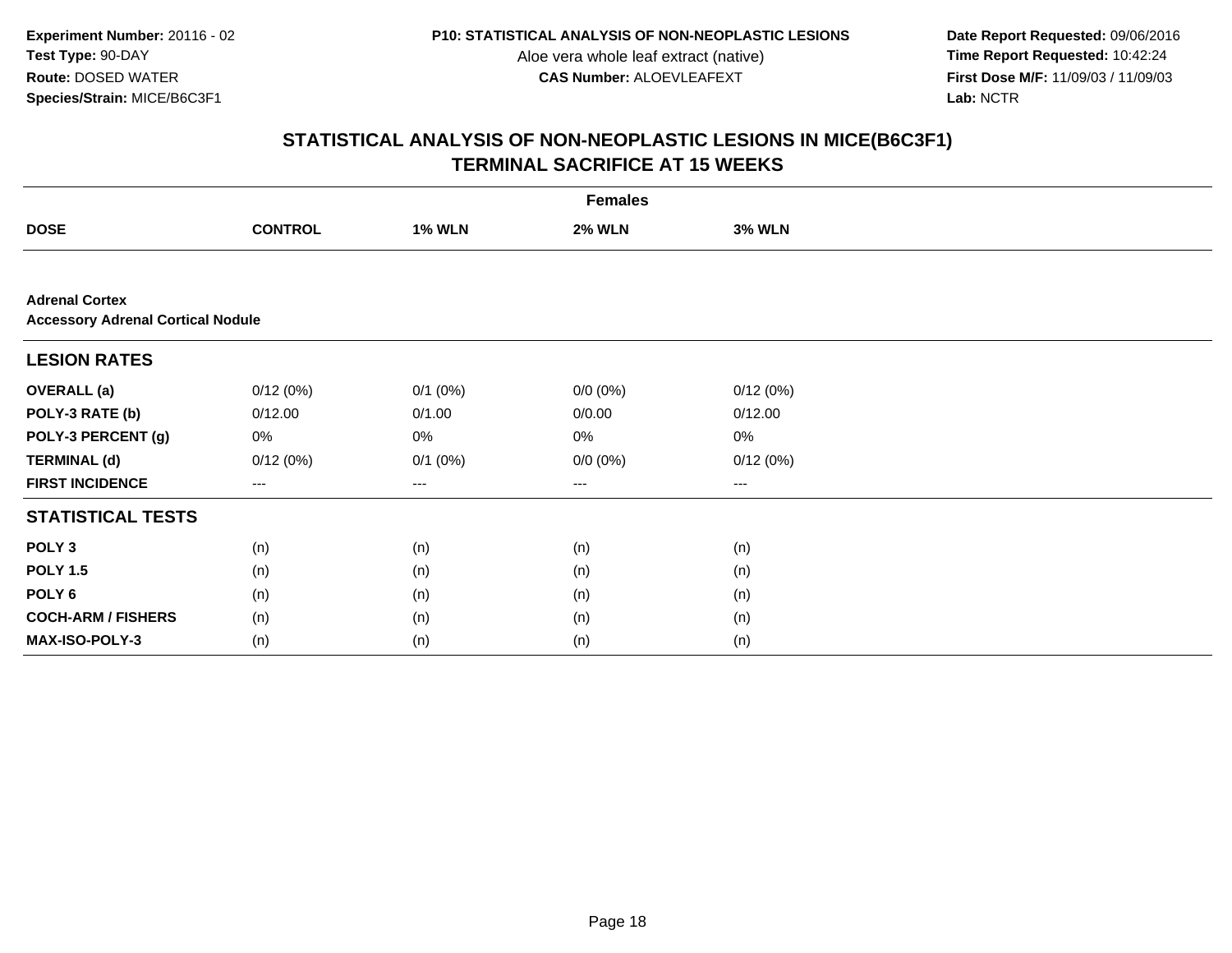**Date Report Requested:** 09/06/2016 **First Dose M/F:** 11/09/03 / 11/09/03<br>Lab: NCTR **Lab:** NCTR

|                                                                   | <b>Females</b> |               |                   |               |  |  |  |  |
|-------------------------------------------------------------------|----------------|---------------|-------------------|---------------|--|--|--|--|
| <b>DOSE</b>                                                       | <b>CONTROL</b> | <b>1% WLN</b> | <b>2% WLN</b>     | <b>3% WLN</b> |  |  |  |  |
|                                                                   |                |               |                   |               |  |  |  |  |
| <b>Adrenal Cortex</b><br><b>Accessory Adrenal Cortical Nodule</b> |                |               |                   |               |  |  |  |  |
| <b>LESION RATES</b>                                               |                |               |                   |               |  |  |  |  |
| <b>OVERALL</b> (a)                                                | 0/12(0%)       | $0/1$ $(0%)$  | $0/0 (0\%)$       | 0/12(0%)      |  |  |  |  |
| POLY-3 RATE (b)                                                   | 0/12.00        | 0/1.00        | 0/0.00            | 0/12.00       |  |  |  |  |
| POLY-3 PERCENT (g)                                                | 0%             | 0%            | 0%                | 0%            |  |  |  |  |
| <b>TERMINAL (d)</b>                                               | 0/12(0%)       | $0/1$ $(0%)$  | $0/0 (0\%)$       | 0/12(0%)      |  |  |  |  |
| <b>FIRST INCIDENCE</b>                                            | $---$          | ---           | $\qquad \qquad -$ | ---           |  |  |  |  |
| <b>STATISTICAL TESTS</b>                                          |                |               |                   |               |  |  |  |  |
| POLY <sub>3</sub>                                                 | (n)            | (n)           | (n)               | (n)           |  |  |  |  |
| <b>POLY 1.5</b>                                                   | (n)            | (n)           | (n)               | (n)           |  |  |  |  |
| POLY <sub>6</sub>                                                 | (n)            | (n)           | (n)               | (n)           |  |  |  |  |
| <b>COCH-ARM / FISHERS</b>                                         | (n)            | (n)           | (n)               | (n)           |  |  |  |  |
| MAX-ISO-POLY-3                                                    | (n)            | (n)           | (n)               | (n)           |  |  |  |  |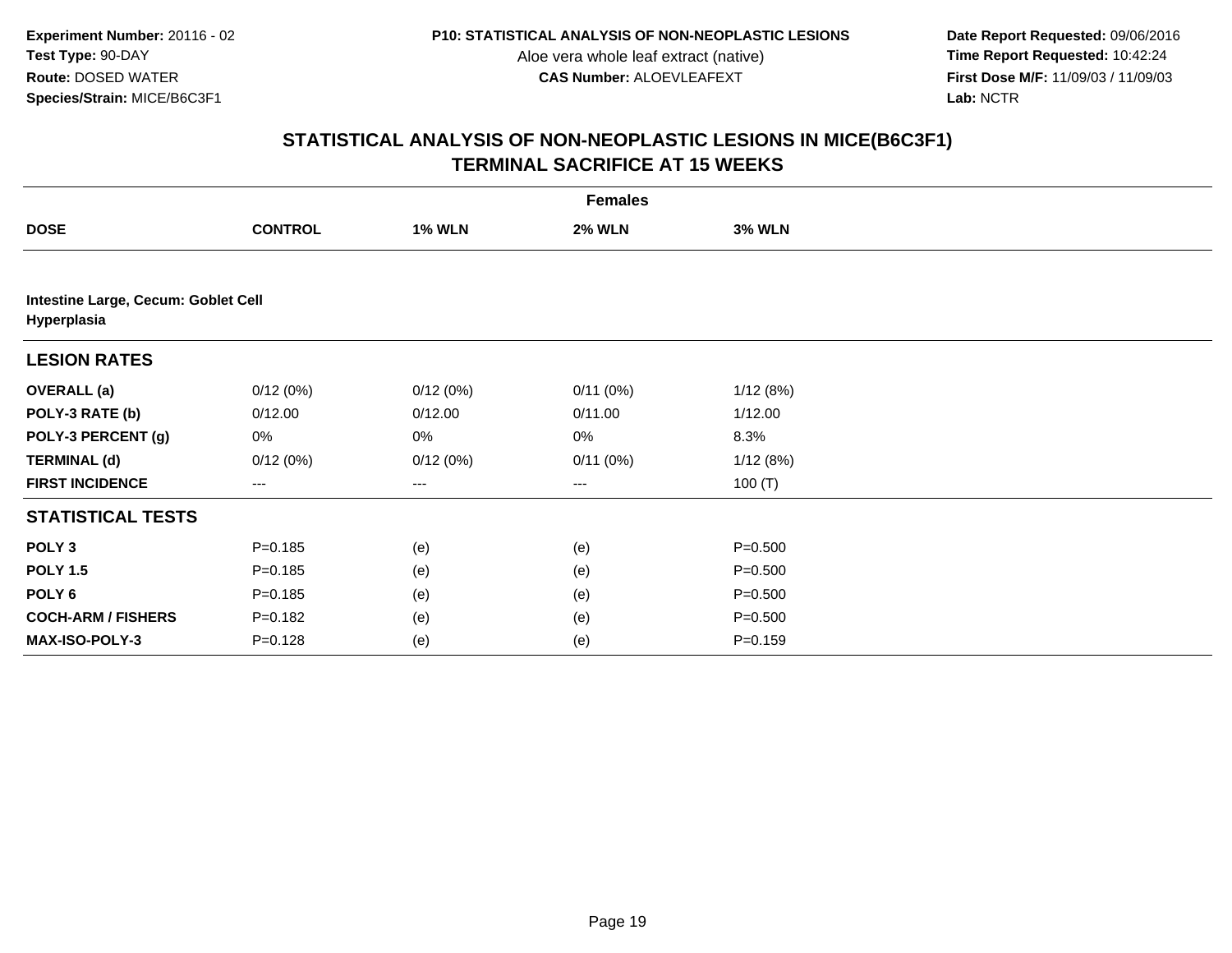**Date Report Requested:** 09/06/2016 **First Dose M/F:** 11/09/03 / 11/09/03<br>Lab: NCTR **Lab:** NCTR

| <b>Females</b>                                     |                |               |               |               |  |  |  |
|----------------------------------------------------|----------------|---------------|---------------|---------------|--|--|--|
| <b>DOSE</b>                                        | <b>CONTROL</b> | <b>1% WLN</b> | <b>2% WLN</b> | <b>3% WLN</b> |  |  |  |
|                                                    |                |               |               |               |  |  |  |
| Intestine Large, Cecum: Goblet Cell<br>Hyperplasia |                |               |               |               |  |  |  |
| <b>LESION RATES</b>                                |                |               |               |               |  |  |  |
| <b>OVERALL</b> (a)                                 | 0/12(0%)       | 0/12(0%)      | 0/11(0%)      | 1/12(8%)      |  |  |  |
| POLY-3 RATE (b)                                    | 0/12.00        | 0/12.00       | 0/11.00       | 1/12.00       |  |  |  |
| POLY-3 PERCENT (g)                                 | 0%             | 0%            | 0%            | 8.3%          |  |  |  |
| <b>TERMINAL (d)</b>                                | 0/12(0%)       | 0/12(0%)      | 0/11(0%)      | 1/12(8%)      |  |  |  |
| <b>FIRST INCIDENCE</b>                             | ---            | ---           | $--$          | 100 $(T)$     |  |  |  |
| <b>STATISTICAL TESTS</b>                           |                |               |               |               |  |  |  |
| POLY <sub>3</sub>                                  | $P = 0.185$    | (e)           | (e)           | $P = 0.500$   |  |  |  |
| <b>POLY 1.5</b>                                    | $P = 0.185$    | (e)           | (e)           | $P = 0.500$   |  |  |  |
| POLY <sub>6</sub>                                  | $P = 0.185$    | (e)           | (e)           | $P = 0.500$   |  |  |  |
| <b>COCH-ARM / FISHERS</b>                          | $P = 0.182$    | (e)           | (e)           | $P = 0.500$   |  |  |  |
| MAX-ISO-POLY-3                                     | $P = 0.128$    | (e)           | (e)           | $P = 0.159$   |  |  |  |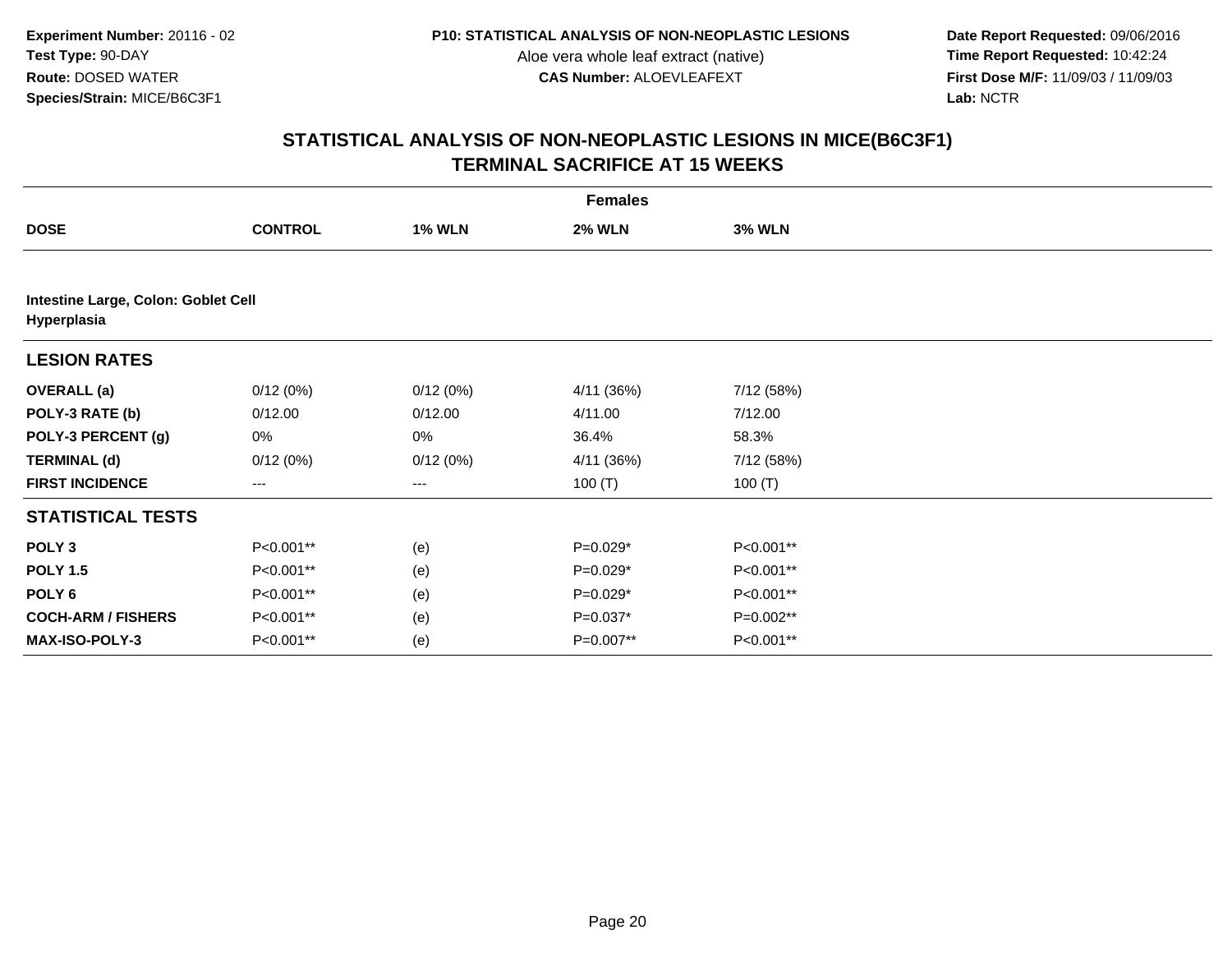**Date Report Requested:** 09/06/2016 **First Dose M/F:** 11/09/03 / 11/09/03<br>Lab: NCTR **Lab:** NCTR

|                                                    | <b>Females</b> |               |               |               |  |  |  |  |
|----------------------------------------------------|----------------|---------------|---------------|---------------|--|--|--|--|
| <b>DOSE</b>                                        | <b>CONTROL</b> | <b>1% WLN</b> | <b>2% WLN</b> | <b>3% WLN</b> |  |  |  |  |
|                                                    |                |               |               |               |  |  |  |  |
| Intestine Large, Colon: Goblet Cell<br>Hyperplasia |                |               |               |               |  |  |  |  |
| <b>LESION RATES</b>                                |                |               |               |               |  |  |  |  |
| <b>OVERALL</b> (a)                                 | 0/12(0%)       | 0/12(0%)      | 4/11 (36%)    | 7/12 (58%)    |  |  |  |  |
| POLY-3 RATE (b)                                    | 0/12.00        | 0/12.00       | 4/11.00       | 7/12.00       |  |  |  |  |
| POLY-3 PERCENT (g)                                 | 0%             | 0%            | 36.4%         | 58.3%         |  |  |  |  |
| <b>TERMINAL (d)</b>                                | 0/12(0%)       | 0/12(0%)      | 4/11 (36%)    | 7/12 (58%)    |  |  |  |  |
| <b>FIRST INCIDENCE</b>                             | $---$          | ---           | 100 $(T)$     | 100 $(T)$     |  |  |  |  |
| <b>STATISTICAL TESTS</b>                           |                |               |               |               |  |  |  |  |
| POLY <sub>3</sub>                                  | P<0.001**      | (e)           | $P=0.029*$    | P<0.001**     |  |  |  |  |
| <b>POLY 1.5</b>                                    | P<0.001**      | (e)           | $P=0.029*$    | P<0.001**     |  |  |  |  |
| POLY <sub>6</sub>                                  | P<0.001**      | (e)           | $P=0.029*$    | P<0.001**     |  |  |  |  |
| <b>COCH-ARM / FISHERS</b>                          | P<0.001**      | (e)           | $P=0.037*$    | P=0.002**     |  |  |  |  |
| <b>MAX-ISO-POLY-3</b>                              | P<0.001**      | (e)           | P=0.007**     | P<0.001**     |  |  |  |  |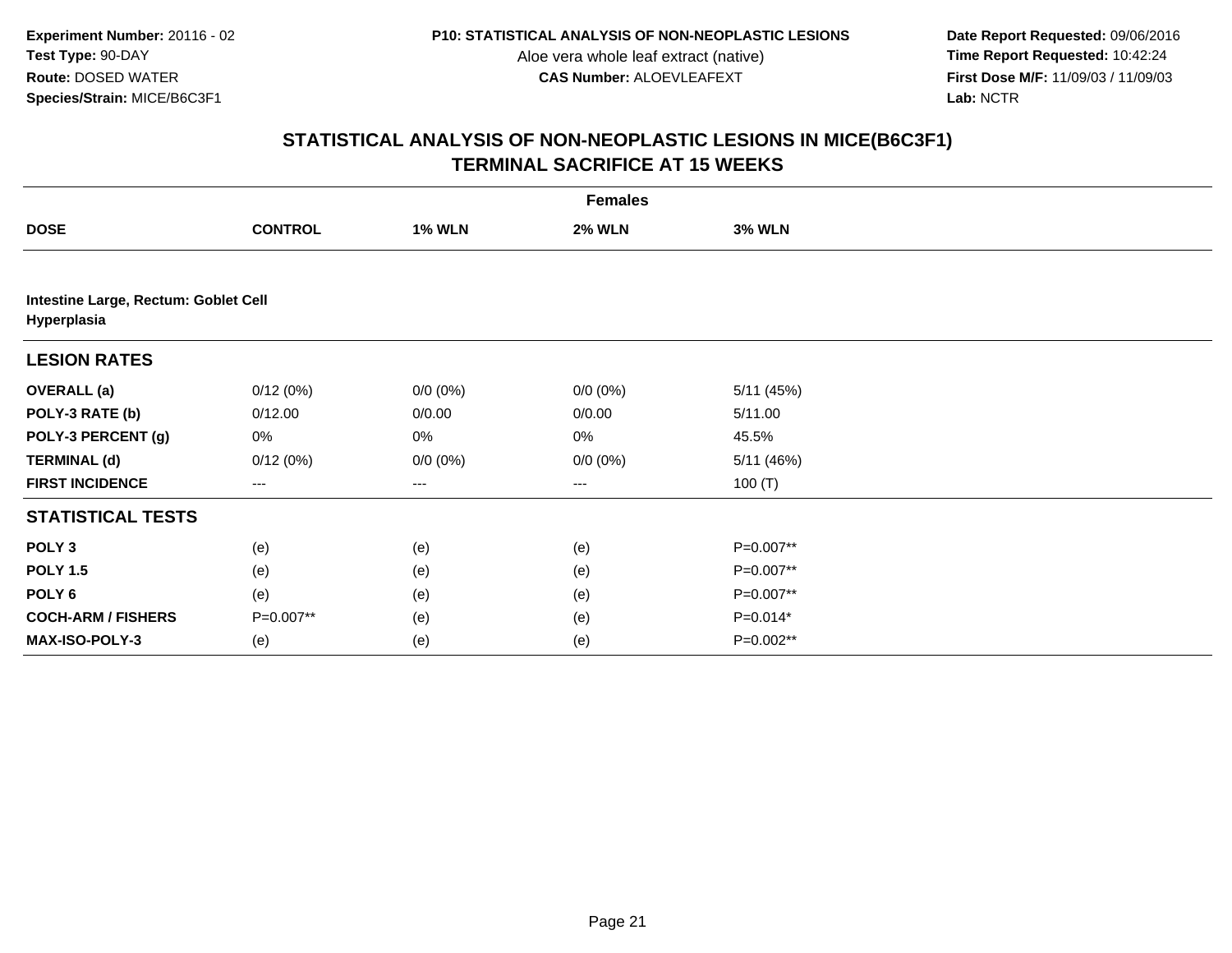**Date Report Requested:** 09/06/2016 **First Dose M/F:** 11/09/03 / 11/09/03<br>Lab: NCTR **Lab:** NCTR

|                                                     | <b>Females</b>    |               |                        |               |  |  |  |  |
|-----------------------------------------------------|-------------------|---------------|------------------------|---------------|--|--|--|--|
| <b>DOSE</b>                                         | <b>CONTROL</b>    | <b>1% WLN</b> | <b>2% WLN</b>          | <b>3% WLN</b> |  |  |  |  |
|                                                     |                   |               |                        |               |  |  |  |  |
| Intestine Large, Rectum: Goblet Cell<br>Hyperplasia |                   |               |                        |               |  |  |  |  |
| <b>LESION RATES</b>                                 |                   |               |                        |               |  |  |  |  |
| <b>OVERALL</b> (a)                                  | 0/12(0%)          | $0/0 (0\%)$   | $0/0 (0\%)$            | 5/11 (45%)    |  |  |  |  |
| POLY-3 RATE (b)                                     | 0/12.00           | 0/0.00        | 0/0.00                 | 5/11.00       |  |  |  |  |
| POLY-3 PERCENT (g)                                  | 0%                | 0%            | 0%                     | 45.5%         |  |  |  |  |
| <b>TERMINAL (d)</b>                                 | 0/12(0%)          | $0/0 (0\%)$   | $0/0 (0\%)$            | 5/11 (46%)    |  |  |  |  |
| <b>FIRST INCIDENCE</b>                              | $\qquad \qquad -$ | $---$         | $\qquad \qquad \cdots$ | 100 $(T)$     |  |  |  |  |
| <b>STATISTICAL TESTS</b>                            |                   |               |                        |               |  |  |  |  |
| POLY <sub>3</sub>                                   | (e)               | (e)           | (e)                    | P=0.007**     |  |  |  |  |
| <b>POLY 1.5</b>                                     | (e)               | (e)           | (e)                    | P=0.007**     |  |  |  |  |
| POLY 6                                              | (e)               | (e)           | (e)                    | P=0.007**     |  |  |  |  |
| <b>COCH-ARM / FISHERS</b>                           | P=0.007**         | (e)           | (e)                    | $P=0.014*$    |  |  |  |  |
| MAX-ISO-POLY-3                                      | (e)               | (e)           | (e)                    | P=0.002**     |  |  |  |  |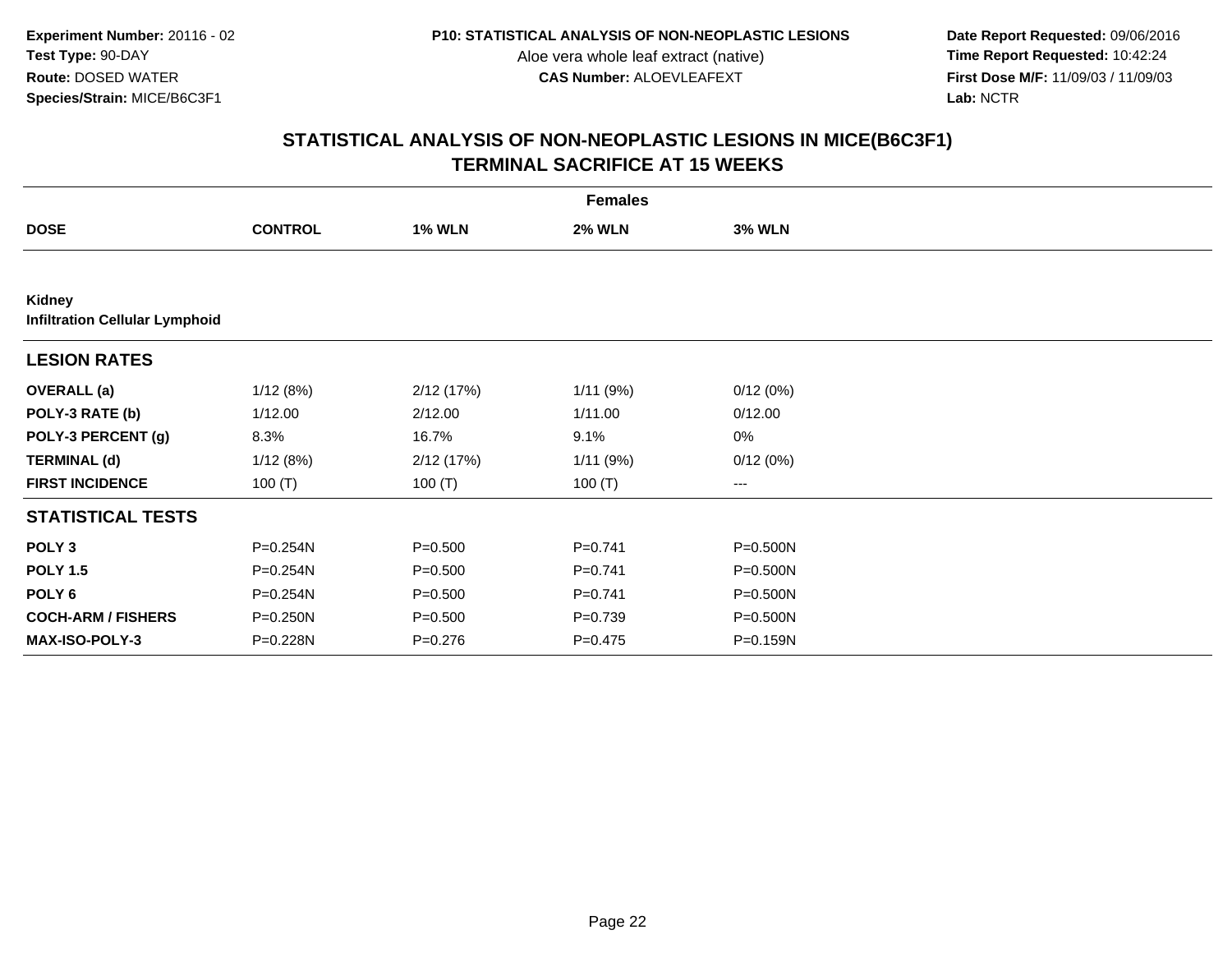**Date Report Requested:** 09/06/2016 **First Dose M/F:** 11/09/03 / 11/09/03<br>Lab: NCTR **Lab:** NCTR

| <b>Females</b>                                         |                |               |               |               |  |  |  |
|--------------------------------------------------------|----------------|---------------|---------------|---------------|--|--|--|
| <b>DOSE</b>                                            | <b>CONTROL</b> | <b>1% WLN</b> | <b>2% WLN</b> | <b>3% WLN</b> |  |  |  |
|                                                        |                |               |               |               |  |  |  |
| <b>Kidney</b><br><b>Infiltration Cellular Lymphoid</b> |                |               |               |               |  |  |  |
| <b>LESION RATES</b>                                    |                |               |               |               |  |  |  |
| <b>OVERALL</b> (a)                                     | 1/12(8%)       | 2/12 (17%)    | 1/11(9%)      | 0/12(0%)      |  |  |  |
| POLY-3 RATE (b)                                        | 1/12.00        | 2/12.00       | 1/11.00       | 0/12.00       |  |  |  |
| POLY-3 PERCENT (g)                                     | 8.3%           | 16.7%         | 9.1%          | 0%            |  |  |  |
| <b>TERMINAL (d)</b>                                    | 1/12(8%)       | 2/12(17%)     | 1/11(9%)      | 0/12(0%)      |  |  |  |
| <b>FIRST INCIDENCE</b>                                 | 100 $(T)$      | 100 $(T)$     | 100 $(T)$     | $---$         |  |  |  |
| <b>STATISTICAL TESTS</b>                               |                |               |               |               |  |  |  |
| POLY <sub>3</sub>                                      | P=0.254N       | $P = 0.500$   | $P=0.741$     | $P = 0.500N$  |  |  |  |
| <b>POLY 1.5</b>                                        | P=0.254N       | $P = 0.500$   | $P=0.741$     | P=0.500N      |  |  |  |
| POLY <sub>6</sub>                                      | P=0.254N       | $P = 0.500$   | $P=0.741$     | P=0.500N      |  |  |  |
| <b>COCH-ARM / FISHERS</b>                              | P=0.250N       | $P = 0.500$   | $P = 0.739$   | P=0.500N      |  |  |  |
| <b>MAX-ISO-POLY-3</b>                                  | P=0.228N       | $P = 0.276$   | $P = 0.475$   | P=0.159N      |  |  |  |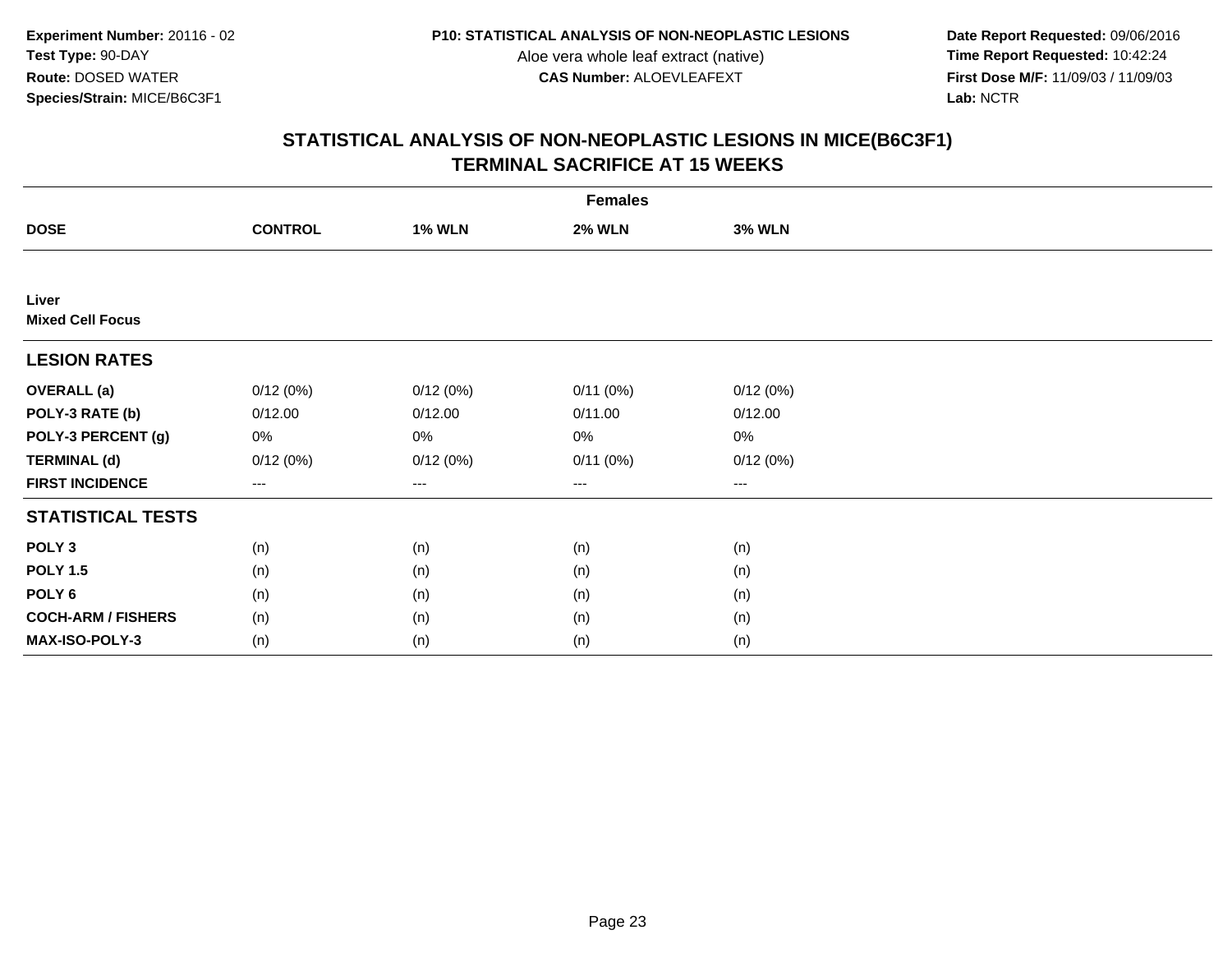**Date Report Requested:** 09/06/2016 **First Dose M/F:** 11/09/03 / 11/09/03<br>Lab: NCTR **Lab:** NCTR

| <b>Females</b>                   |                |               |               |               |  |  |  |
|----------------------------------|----------------|---------------|---------------|---------------|--|--|--|
| <b>DOSE</b>                      | <b>CONTROL</b> | <b>1% WLN</b> | <b>2% WLN</b> | <b>3% WLN</b> |  |  |  |
|                                  |                |               |               |               |  |  |  |
| Liver<br><b>Mixed Cell Focus</b> |                |               |               |               |  |  |  |
| <b>LESION RATES</b>              |                |               |               |               |  |  |  |
| <b>OVERALL</b> (a)               | 0/12(0%)       | 0/12(0%)      | 0/11(0%)      | 0/12(0%)      |  |  |  |
| POLY-3 RATE (b)                  | 0/12.00        | 0/12.00       | 0/11.00       | 0/12.00       |  |  |  |
| POLY-3 PERCENT (g)               | 0%             | 0%            | 0%            | 0%            |  |  |  |
| <b>TERMINAL (d)</b>              | 0/12(0%)       | 0/12(0%)      | 0/11(0%)      | 0/12(0%)      |  |  |  |
| <b>FIRST INCIDENCE</b>           | $--$           | ---           | ---           | $--$          |  |  |  |
| <b>STATISTICAL TESTS</b>         |                |               |               |               |  |  |  |
| POLY <sub>3</sub>                | (n)            | (n)           | (n)           | (n)           |  |  |  |
| <b>POLY 1.5</b>                  | (n)            | (n)           | (n)           | (n)           |  |  |  |
| POLY <sub>6</sub>                | (n)            | (n)           | (n)           | (n)           |  |  |  |
| <b>COCH-ARM / FISHERS</b>        | (n)            | (n)           | (n)           | (n)           |  |  |  |
| MAX-ISO-POLY-3                   | (n)            | (n)           | (n)           | (n)           |  |  |  |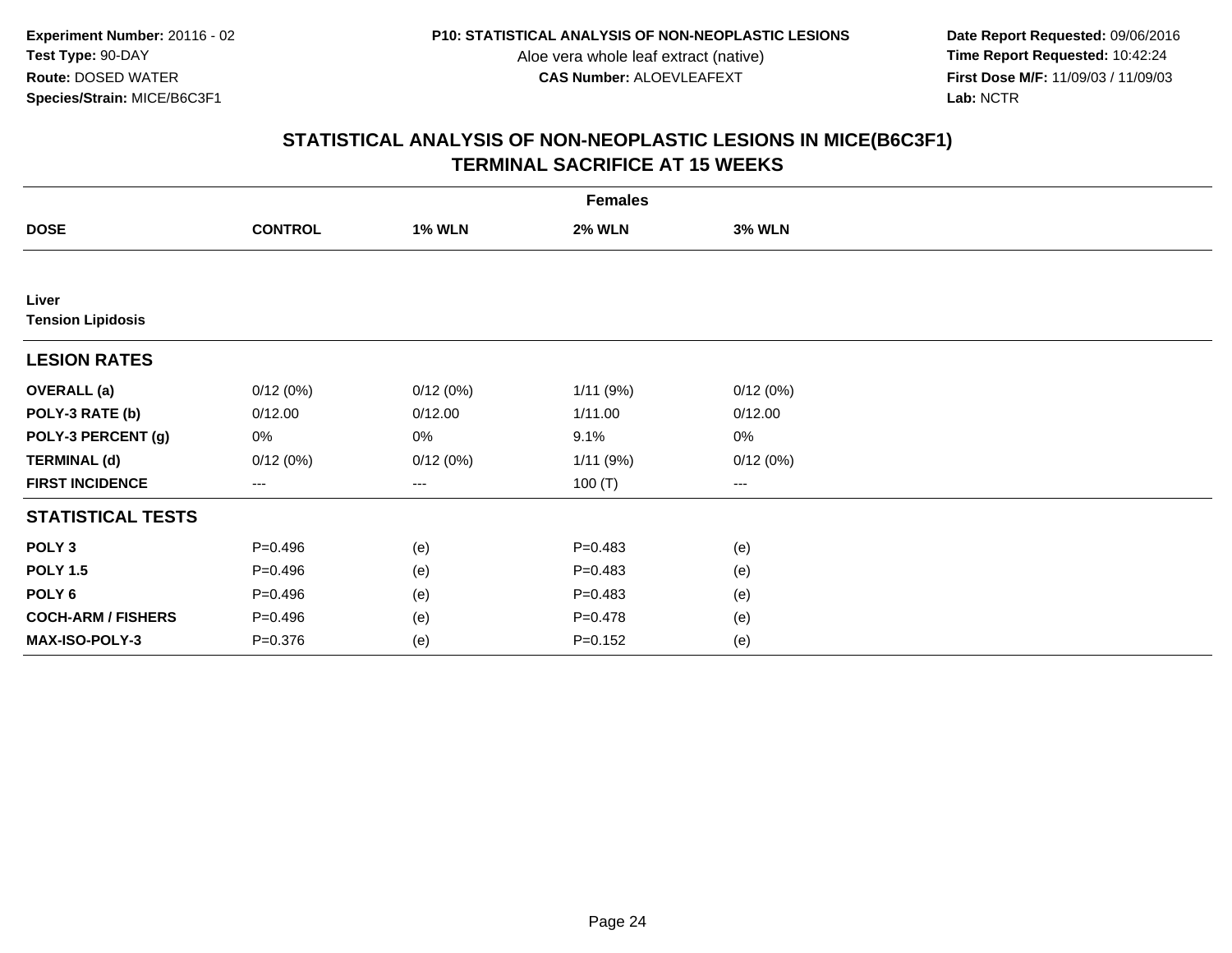**Date Report Requested:** 09/06/2016 **First Dose M/F:** 11/09/03 / 11/09/03<br>Lab: NCTR **Lab:** NCTR

|                                   | <b>Females</b>         |               |               |               |  |  |  |  |
|-----------------------------------|------------------------|---------------|---------------|---------------|--|--|--|--|
| <b>DOSE</b>                       | <b>CONTROL</b>         | <b>1% WLN</b> | <b>2% WLN</b> | <b>3% WLN</b> |  |  |  |  |
|                                   |                        |               |               |               |  |  |  |  |
| Liver<br><b>Tension Lipidosis</b> |                        |               |               |               |  |  |  |  |
| <b>LESION RATES</b>               |                        |               |               |               |  |  |  |  |
| <b>OVERALL</b> (a)                | 0/12(0%)               | 0/12(0%)      | 1/11 (9%)     | 0/12(0%)      |  |  |  |  |
| POLY-3 RATE (b)                   | 0/12.00                | 0/12.00       | 1/11.00       | 0/12.00       |  |  |  |  |
| POLY-3 PERCENT (g)                | 0%                     | 0%            | 9.1%          | 0%            |  |  |  |  |
| <b>TERMINAL (d)</b>               | 0/12(0%)               | 0/12(0%)      | 1/11(9%)      | 0/12(0%)      |  |  |  |  |
| <b>FIRST INCIDENCE</b>            | $\qquad \qquad \cdots$ | ---           | 100(T)        | $--$          |  |  |  |  |
| <b>STATISTICAL TESTS</b>          |                        |               |               |               |  |  |  |  |
| POLY <sub>3</sub>                 | $P=0.496$              | (e)           | $P = 0.483$   | (e)           |  |  |  |  |
| <b>POLY 1.5</b>                   | $P = 0.496$            | (e)           | $P = 0.483$   | (e)           |  |  |  |  |
| POLY <sub>6</sub>                 | $P=0.496$              | (e)           | $P = 0.483$   | (e)           |  |  |  |  |
| <b>COCH-ARM / FISHERS</b>         | $P = 0.496$            | (e)           | $P = 0.478$   | (e)           |  |  |  |  |
| MAX-ISO-POLY-3                    | $P = 0.376$            | (e)           | $P = 0.152$   | (e)           |  |  |  |  |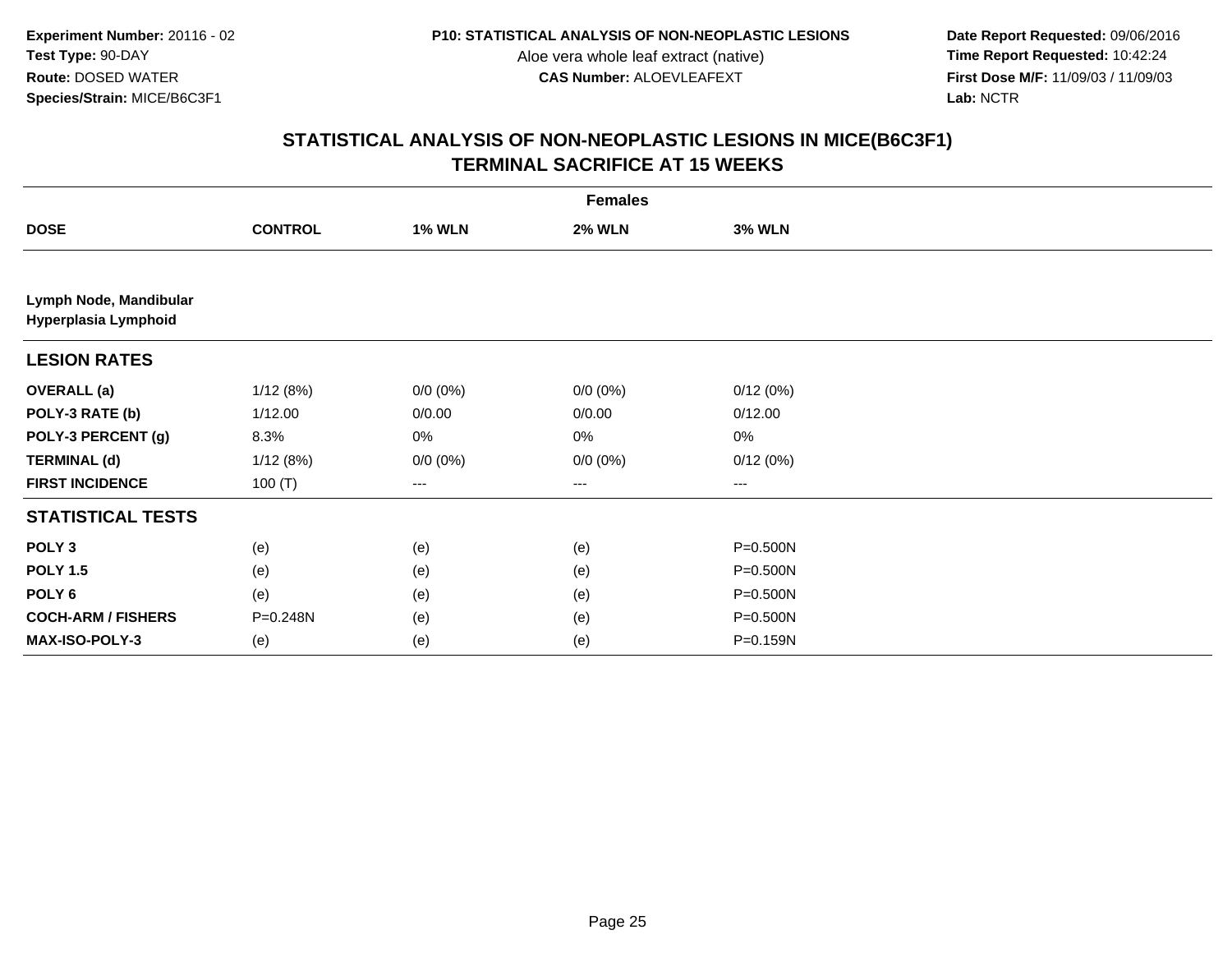**Date Report Requested:** 09/06/2016 **First Dose M/F:** 11/09/03 / 11/09/03<br>Lab: NCTR **Lab:** NCTR

|                                                | <b>Females</b> |               |               |               |  |  |  |  |
|------------------------------------------------|----------------|---------------|---------------|---------------|--|--|--|--|
| <b>DOSE</b>                                    | <b>CONTROL</b> | <b>1% WLN</b> | <b>2% WLN</b> | <b>3% WLN</b> |  |  |  |  |
|                                                |                |               |               |               |  |  |  |  |
| Lymph Node, Mandibular<br>Hyperplasia Lymphoid |                |               |               |               |  |  |  |  |
| <b>LESION RATES</b>                            |                |               |               |               |  |  |  |  |
| <b>OVERALL (a)</b>                             | 1/12(8%)       | $0/0 (0\%)$   | $0/0 (0\%)$   | 0/12(0%)      |  |  |  |  |
| POLY-3 RATE (b)                                | 1/12.00        | 0/0.00        | 0/0.00        | 0/12.00       |  |  |  |  |
| POLY-3 PERCENT (g)                             | 8.3%           | 0%            | $0\%$         | $0\%$         |  |  |  |  |
| <b>TERMINAL (d)</b>                            | 1/12(8%)       | $0/0 (0\%)$   | $0/0 (0\%)$   | 0/12(0%)      |  |  |  |  |
| <b>FIRST INCIDENCE</b>                         | 100(T)         | ---           | ---           | ---           |  |  |  |  |
| <b>STATISTICAL TESTS</b>                       |                |               |               |               |  |  |  |  |
| POLY <sub>3</sub>                              | (e)            | (e)           | (e)           | P=0.500N      |  |  |  |  |
| <b>POLY 1.5</b>                                | (e)            | (e)           | (e)           | P=0.500N      |  |  |  |  |
| POLY <sub>6</sub>                              | (e)            | (e)           | (e)           | P=0.500N      |  |  |  |  |
| <b>COCH-ARM / FISHERS</b>                      | P=0.248N       | (e)           | (e)           | P=0.500N      |  |  |  |  |
| MAX-ISO-POLY-3                                 | (e)            | (e)           | (e)           | P=0.159N      |  |  |  |  |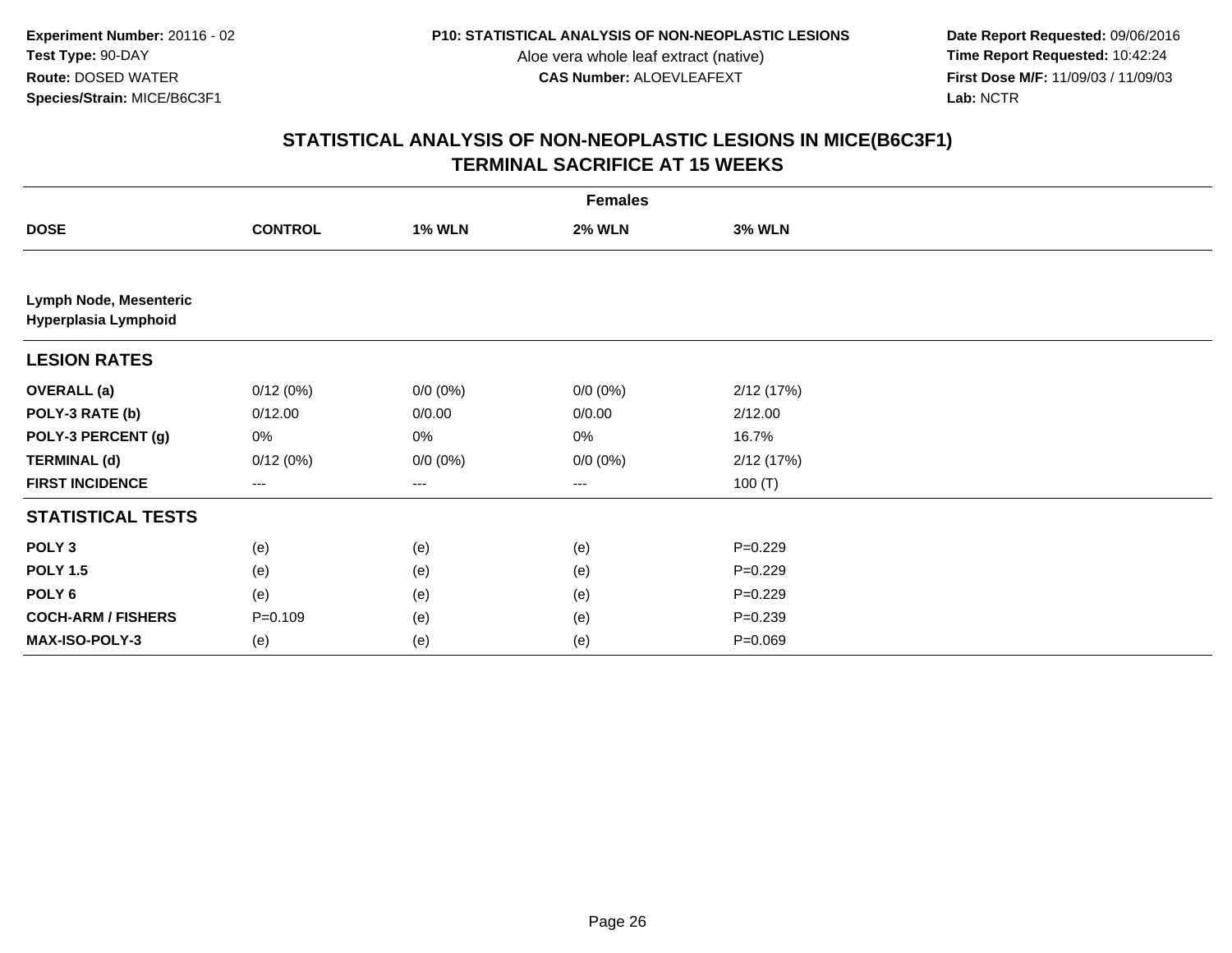**Date Report Requested:** 09/06/2016 **First Dose M/F:** 11/09/03 / 11/09/03<br>Lab: NCTR **Lab:** NCTR

| <b>Females</b>                                 |                |               |               |               |  |
|------------------------------------------------|----------------|---------------|---------------|---------------|--|
| <b>DOSE</b>                                    | <b>CONTROL</b> | <b>1% WLN</b> | <b>2% WLN</b> | <b>3% WLN</b> |  |
|                                                |                |               |               |               |  |
| Lymph Node, Mesenteric<br>Hyperplasia Lymphoid |                |               |               |               |  |
| <b>LESION RATES</b>                            |                |               |               |               |  |
| <b>OVERALL (a)</b>                             | 0/12(0%)       | $0/0 (0\%)$   | $0/0 (0\%)$   | 2/12 (17%)    |  |
| POLY-3 RATE (b)                                | 0/12.00        | 0/0.00        | 0/0.00        | 2/12.00       |  |
| POLY-3 PERCENT (g)                             | 0%             | 0%            | $0\%$         | 16.7%         |  |
| <b>TERMINAL (d)</b>                            | 0/12(0%)       | $0/0 (0\%)$   | $0/0 (0\%)$   | 2/12(17%)     |  |
| <b>FIRST INCIDENCE</b>                         | ---            | ---           | ---           | 100 $(T)$     |  |
| <b>STATISTICAL TESTS</b>                       |                |               |               |               |  |
| POLY <sub>3</sub>                              | (e)            | (e)           | (e)           | $P=0.229$     |  |
| <b>POLY 1.5</b>                                | (e)            | (e)           | (e)           | $P=0.229$     |  |
| POLY <sub>6</sub>                              | (e)            | (e)           | (e)           | $P=0.229$     |  |
| <b>COCH-ARM / FISHERS</b>                      | $P = 0.109$    | (e)           | (e)           | $P = 0.239$   |  |
| MAX-ISO-POLY-3                                 | (e)            | (e)           | (e)           | $P = 0.069$   |  |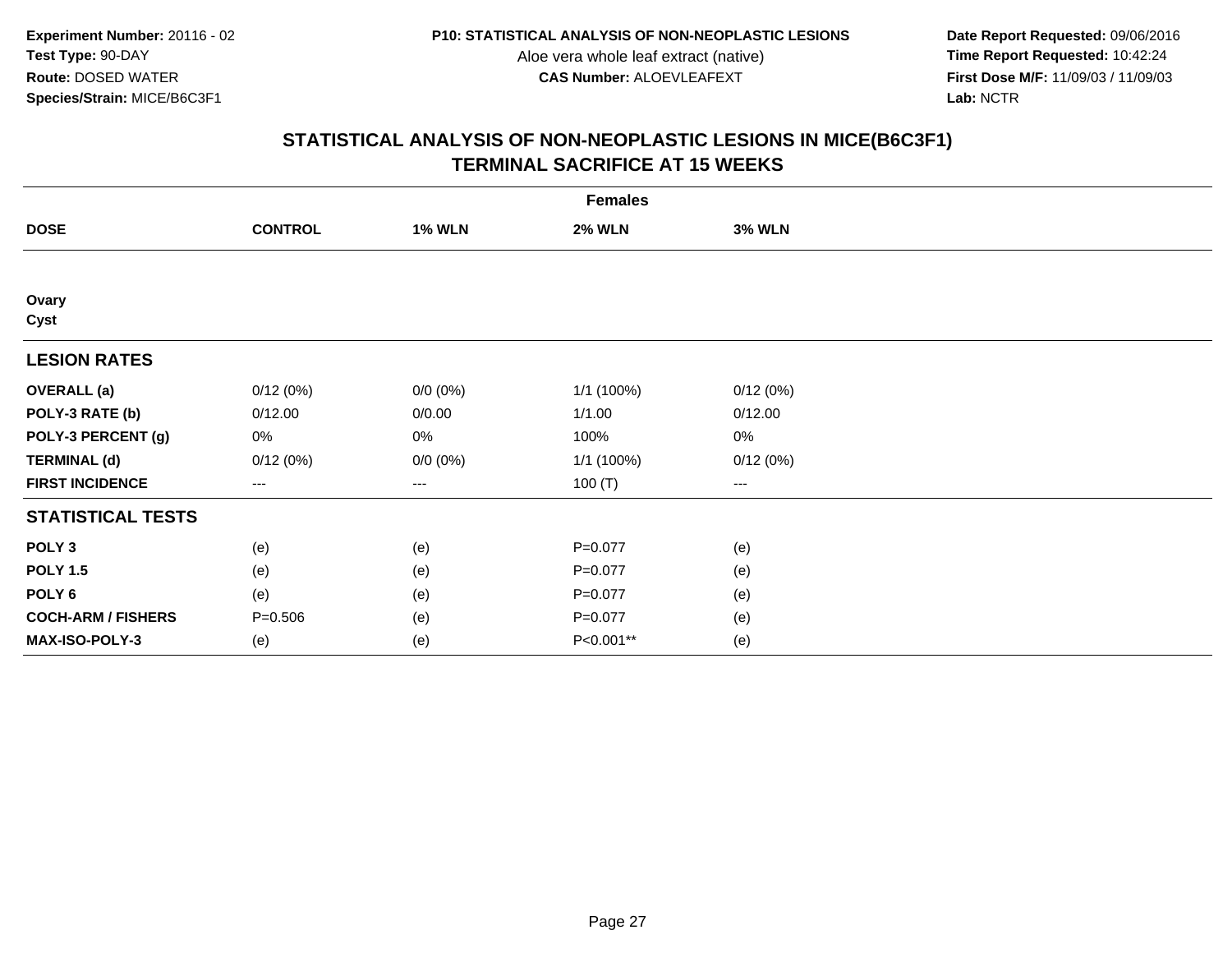**Date Report Requested:** 09/06/2016 **First Dose M/F:** 11/09/03 / 11/09/03<br>Lab: NCTR **Lab:** NCTR

| <b>Females</b>            |                |               |               |               |  |
|---------------------------|----------------|---------------|---------------|---------------|--|
| <b>DOSE</b>               | <b>CONTROL</b> | <b>1% WLN</b> | <b>2% WLN</b> | <b>3% WLN</b> |  |
|                           |                |               |               |               |  |
| Ovary<br>Cyst             |                |               |               |               |  |
| <b>LESION RATES</b>       |                |               |               |               |  |
| <b>OVERALL</b> (a)        | 0/12(0%)       | $0/0 (0\%)$   | 1/1 (100%)    | 0/12(0%)      |  |
| POLY-3 RATE (b)           | 0/12.00        | 0/0.00        | 1/1.00        | 0/12.00       |  |
| POLY-3 PERCENT (g)        | 0%             | 0%            | 100%          | 0%            |  |
| <b>TERMINAL (d)</b>       | 0/12(0%)       | $0/0 (0\%)$   | 1/1 (100%)    | 0/12(0%)      |  |
| <b>FIRST INCIDENCE</b>    | $--$           | ---           | 100 $(T)$     | $--$          |  |
| <b>STATISTICAL TESTS</b>  |                |               |               |               |  |
| POLY <sub>3</sub>         | (e)            | (e)           | $P=0.077$     | (e)           |  |
| <b>POLY 1.5</b>           | (e)            | (e)           | $P=0.077$     | (e)           |  |
| POLY <sub>6</sub>         | (e)            | (e)           | $P=0.077$     | (e)           |  |
| <b>COCH-ARM / FISHERS</b> | $P = 0.506$    | (e)           | $P = 0.077$   | (e)           |  |
| MAX-ISO-POLY-3            | (e)            | (e)           | P<0.001**     | (e)           |  |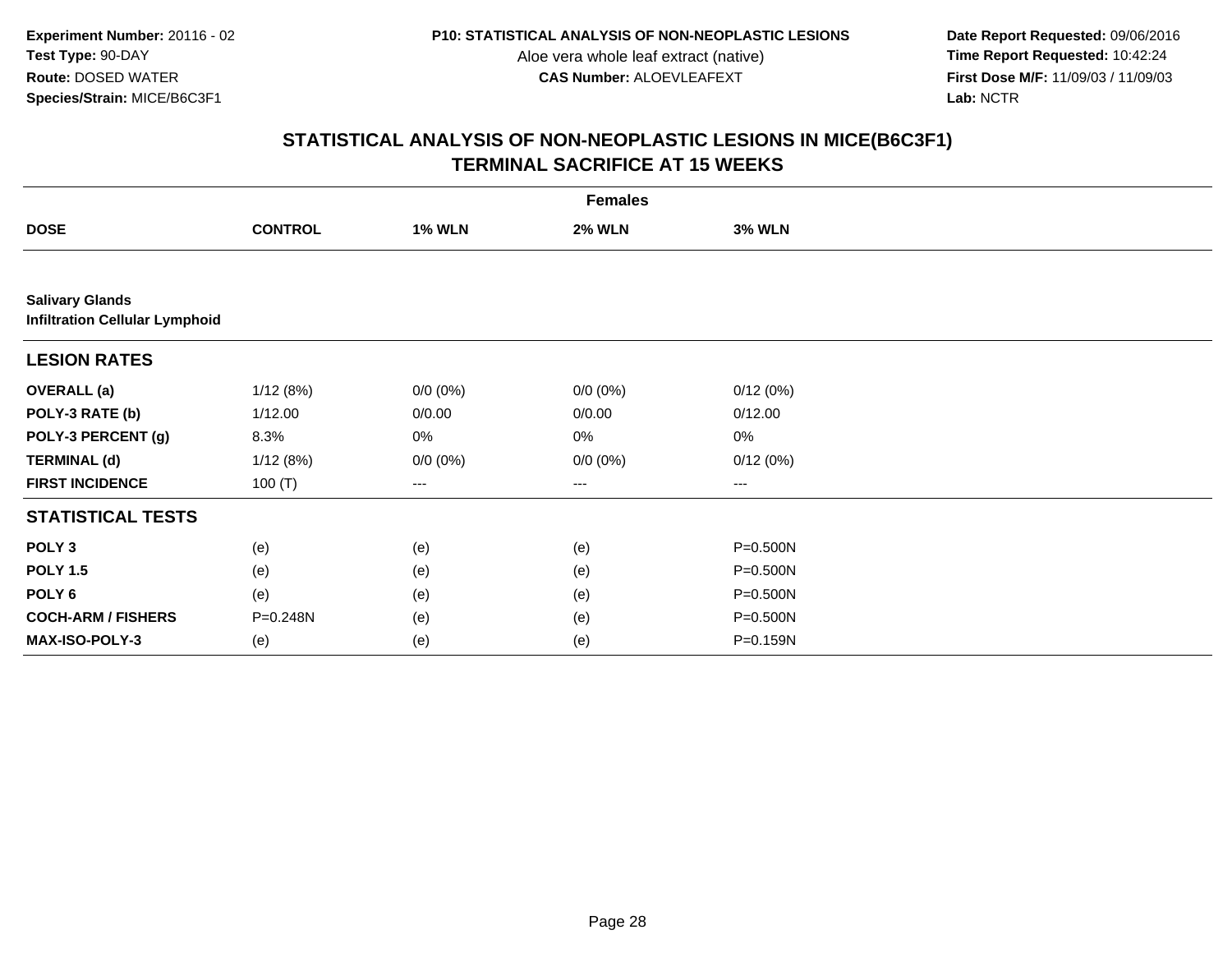**Date Report Requested:** 09/06/2016 **First Dose M/F:** 11/09/03 / 11/09/03<br>Lab: NCTR **Lab:** NCTR

|                                                                 | <b>Females</b> |               |               |               |  |
|-----------------------------------------------------------------|----------------|---------------|---------------|---------------|--|
| <b>DOSE</b>                                                     | <b>CONTROL</b> | <b>1% WLN</b> | <b>2% WLN</b> | <b>3% WLN</b> |  |
|                                                                 |                |               |               |               |  |
| <b>Salivary Glands</b><br><b>Infiltration Cellular Lymphoid</b> |                |               |               |               |  |
| <b>LESION RATES</b>                                             |                |               |               |               |  |
| <b>OVERALL</b> (a)                                              | 1/12(8%)       | $0/0 (0\%)$   | $0/0 (0\%)$   | 0/12(0%)      |  |
| POLY-3 RATE (b)                                                 | 1/12.00        | 0/0.00        | 0/0.00        | 0/12.00       |  |
| POLY-3 PERCENT (g)                                              | 8.3%           | 0%            | 0%            | 0%            |  |
| <b>TERMINAL (d)</b>                                             | 1/12(8%)       | $0/0 (0\%)$   | $0/0 (0\%)$   | 0/12(0%)      |  |
| <b>FIRST INCIDENCE</b>                                          | 100 $(T)$      | $\cdots$      | $\cdots$      | ---           |  |
| <b>STATISTICAL TESTS</b>                                        |                |               |               |               |  |
| POLY <sub>3</sub>                                               | (e)            | (e)           | (e)           | P=0.500N      |  |
| <b>POLY 1.5</b>                                                 | (e)            | (e)           | (e)           | P=0.500N      |  |
| POLY <sub>6</sub>                                               | (e)            | (e)           | (e)           | P=0.500N      |  |
| <b>COCH-ARM / FISHERS</b>                                       | P=0.248N       | (e)           | (e)           | P=0.500N      |  |
| <b>MAX-ISO-POLY-3</b>                                           | (e)            | (e)           | (e)           | P=0.159N      |  |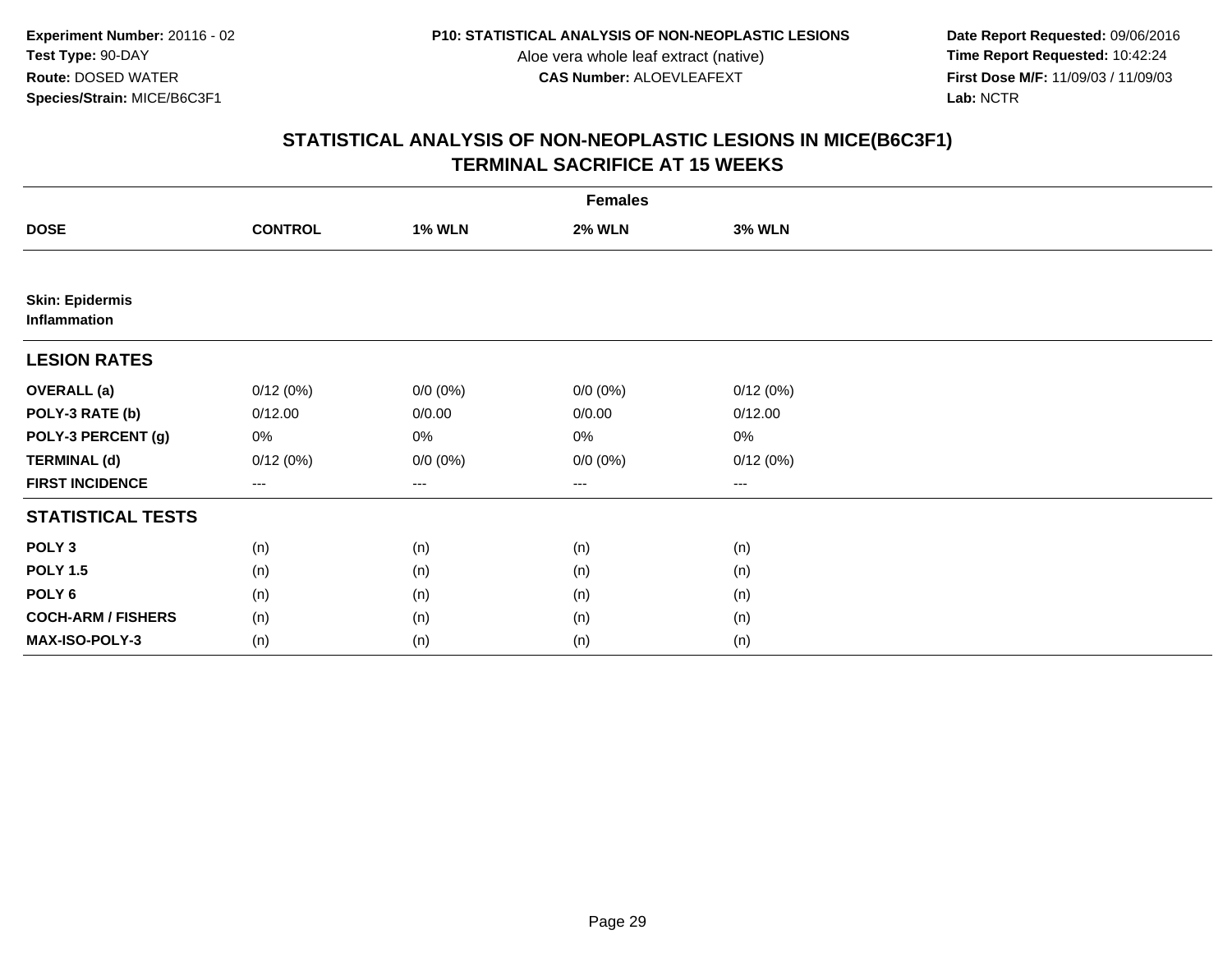**Date Report Requested:** 09/06/2016 **First Dose M/F:** 11/09/03 / 11/09/03<br>Lab: NCTR **Lab:** NCTR

| <b>Females</b>                         |                |                   |               |               |  |
|----------------------------------------|----------------|-------------------|---------------|---------------|--|
| <b>DOSE</b>                            | <b>CONTROL</b> | <b>1% WLN</b>     | <b>2% WLN</b> | <b>3% WLN</b> |  |
|                                        |                |                   |               |               |  |
| <b>Skin: Epidermis</b><br>Inflammation |                |                   |               |               |  |
| <b>LESION RATES</b>                    |                |                   |               |               |  |
| <b>OVERALL</b> (a)                     | 0/12(0%)       | $0/0 (0\%)$       | $0/0 (0\%)$   | 0/12(0%)      |  |
| POLY-3 RATE (b)                        | 0/12.00        | 0/0.00            | 0/0.00        | 0/12.00       |  |
| POLY-3 PERCENT (g)                     | 0%             | 0%                | 0%            | 0%            |  |
| <b>TERMINAL (d)</b>                    | 0/12(0%)       | $0/0 (0\%)$       | $0/0 (0\%)$   | 0/12(0%)      |  |
| <b>FIRST INCIDENCE</b>                 | $---$          | $\qquad \qquad -$ | ---           | $--$          |  |
| <b>STATISTICAL TESTS</b>               |                |                   |               |               |  |
| POLY <sub>3</sub>                      | (n)            | (n)               | (n)           | (n)           |  |
| <b>POLY 1.5</b>                        | (n)            | (n)               | (n)           | (n)           |  |
| POLY <sub>6</sub>                      | (n)            | (n)               | (n)           | (n)           |  |
| <b>COCH-ARM / FISHERS</b>              | (n)            | (n)               | (n)           | (n)           |  |
| MAX-ISO-POLY-3                         | (n)            | (n)               | (n)           | (n)           |  |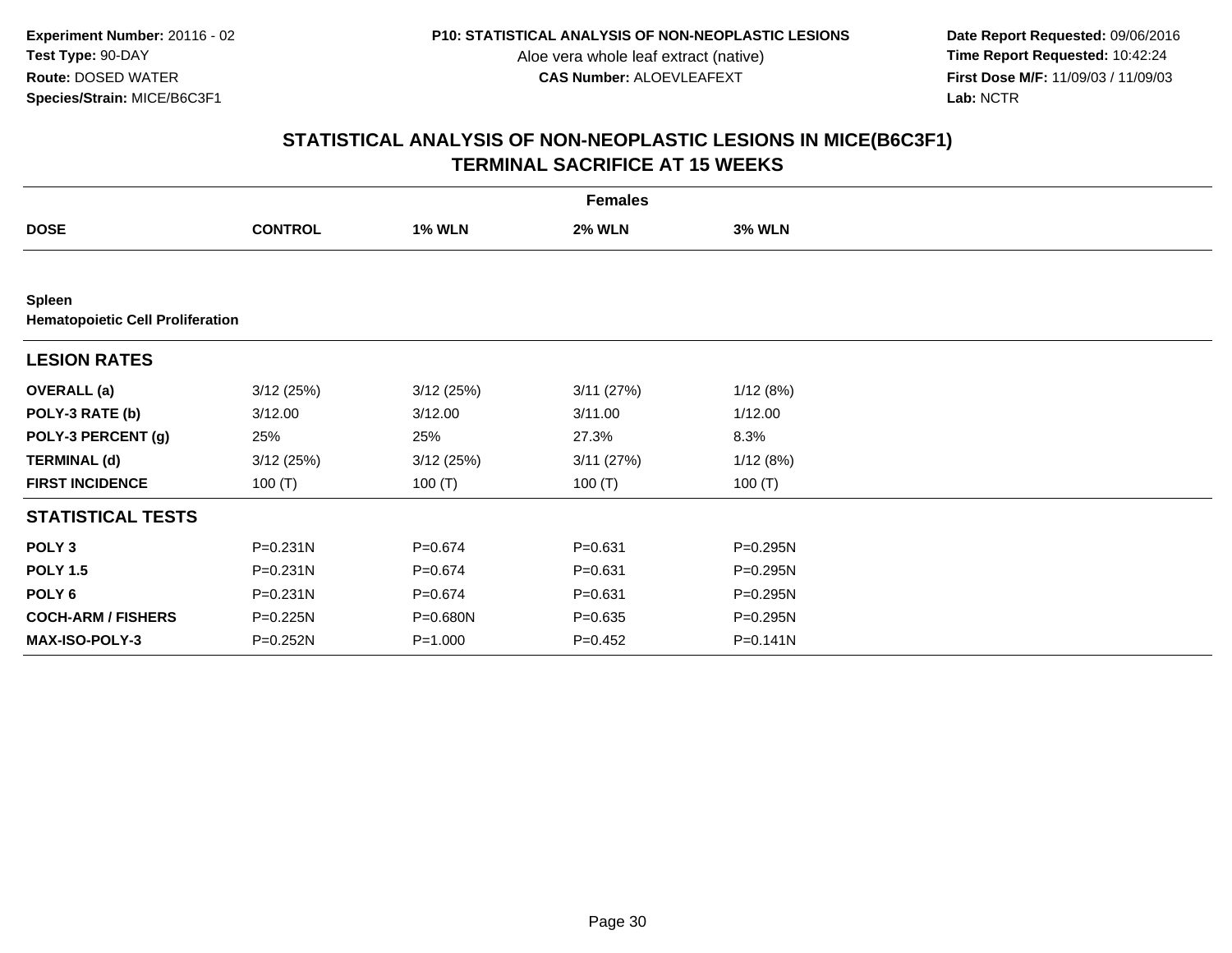**Date Report Requested:** 09/06/2016 **First Dose M/F:** 11/09/03 / 11/09/03<br>Lab: NCTR **Lab:** NCTR

| <b>Females</b>                                    |                |               |               |               |  |
|---------------------------------------------------|----------------|---------------|---------------|---------------|--|
| <b>DOSE</b>                                       | <b>CONTROL</b> | <b>1% WLN</b> | <b>2% WLN</b> | <b>3% WLN</b> |  |
|                                                   |                |               |               |               |  |
| Spleen<br><b>Hematopoietic Cell Proliferation</b> |                |               |               |               |  |
| <b>LESION RATES</b>                               |                |               |               |               |  |
| <b>OVERALL</b> (a)                                | 3/12(25%)      | 3/12(25%)     | 3/11(27%)     | 1/12(8%)      |  |
| POLY-3 RATE (b)                                   | 3/12.00        | 3/12.00       | 3/11.00       | 1/12.00       |  |
| POLY-3 PERCENT (g)                                | 25%            | 25%           | 27.3%         | 8.3%          |  |
| <b>TERMINAL (d)</b>                               | 3/12(25%)      | 3/12(25%)     | 3/11(27%)     | 1/12(8%)      |  |
| <b>FIRST INCIDENCE</b>                            | 100 $(T)$      | 100 $(T)$     | 100 $(T)$     | 100 $(T)$     |  |
| <b>STATISTICAL TESTS</b>                          |                |               |               |               |  |
| POLY <sub>3</sub>                                 | $P = 0.231N$   | $P = 0.674$   | $P = 0.631$   | P=0.295N      |  |
| <b>POLY 1.5</b>                                   | $P = 0.231N$   | $P = 0.674$   | $P = 0.631$   | P=0.295N      |  |
| POLY <sub>6</sub>                                 | $P = 0.231N$   | $P = 0.674$   | $P = 0.631$   | P=0.295N      |  |
| <b>COCH-ARM / FISHERS</b>                         | P=0.225N       | P=0.680N      | $P = 0.635$   | P=0.295N      |  |
| MAX-ISO-POLY-3                                    | P=0.252N       | $P = 1.000$   | $P=0.452$     | $P = 0.141N$  |  |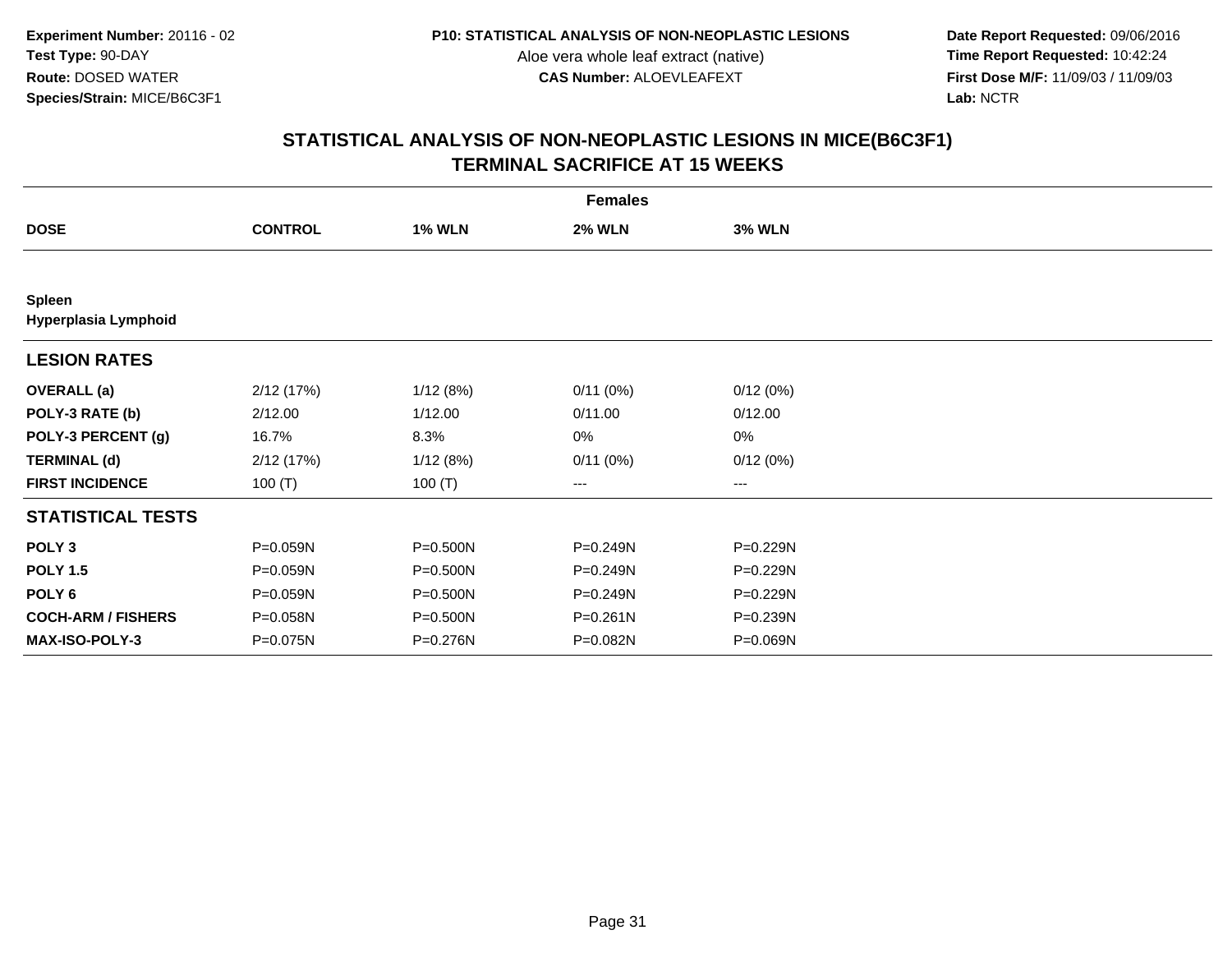**Date Report Requested:** 09/06/2016 **First Dose M/F:** 11/09/03 / 11/09/03<br>Lab: NCTR **Lab:** NCTR

| <b>Females</b>                 |                |               |               |               |  |
|--------------------------------|----------------|---------------|---------------|---------------|--|
| <b>DOSE</b>                    | <b>CONTROL</b> | <b>1% WLN</b> | <b>2% WLN</b> | <b>3% WLN</b> |  |
|                                |                |               |               |               |  |
| Spleen<br>Hyperplasia Lymphoid |                |               |               |               |  |
| <b>LESION RATES</b>            |                |               |               |               |  |
| <b>OVERALL</b> (a)             | 2/12(17%)      | 1/12(8%)      | 0/11(0%)      | 0/12(0%)      |  |
| POLY-3 RATE (b)                | 2/12.00        | 1/12.00       | 0/11.00       | 0/12.00       |  |
| POLY-3 PERCENT (g)             | 16.7%          | 8.3%          | 0%            | 0%            |  |
| <b>TERMINAL (d)</b>            | 2/12(17%)      | 1/12(8%)      | 0/11(0%)      | 0/12(0%)      |  |
| <b>FIRST INCIDENCE</b>         | 100 $(T)$      | 100 $(T)$     | ---           | ---           |  |
| <b>STATISTICAL TESTS</b>       |                |               |               |               |  |
| POLY <sub>3</sub>              | P=0.059N       | P=0.500N      | P=0.249N      | P=0.229N      |  |
| <b>POLY 1.5</b>                | P=0.059N       | P=0.500N      | $P = 0.249N$  | P=0.229N      |  |
| POLY <sub>6</sub>              | P=0.059N       | P=0.500N      | P=0.249N      | P=0.229N      |  |
| <b>COCH-ARM / FISHERS</b>      | P=0.058N       | P=0.500N      | P=0.261N      | P=0.239N      |  |
| MAX-ISO-POLY-3                 | P=0.075N       | P=0.276N      | P=0.082N      | P=0.069N      |  |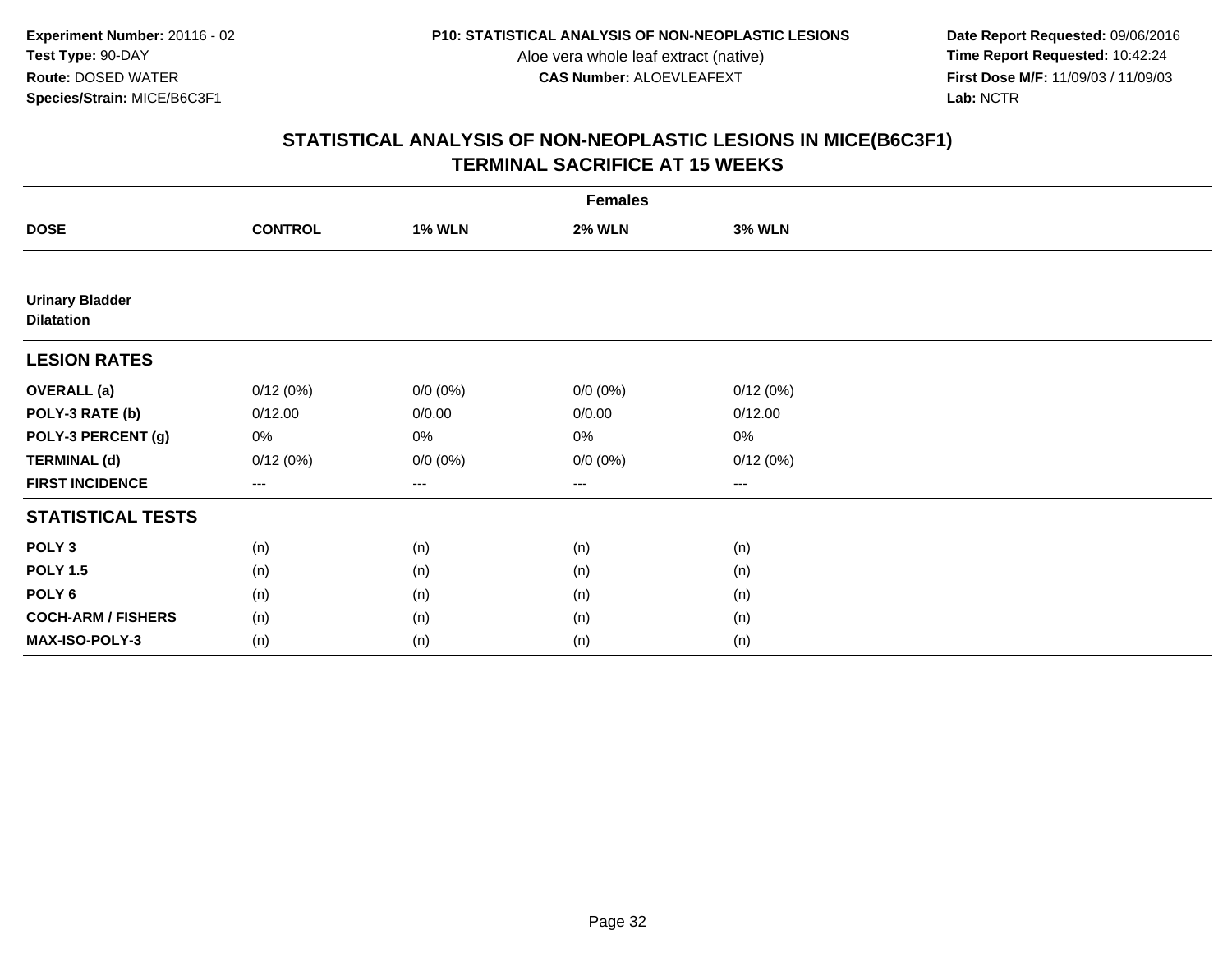**Date Report Requested:** 09/06/2016 **First Dose M/F:** 11/09/03 / 11/09/03<br>Lab: NCTR **Lab:** NCTR

| <b>Females</b>                              |                |                   |               |               |  |
|---------------------------------------------|----------------|-------------------|---------------|---------------|--|
| <b>DOSE</b>                                 | <b>CONTROL</b> | <b>1% WLN</b>     | <b>2% WLN</b> | <b>3% WLN</b> |  |
|                                             |                |                   |               |               |  |
| <b>Urinary Bladder</b><br><b>Dilatation</b> |                |                   |               |               |  |
| <b>LESION RATES</b>                         |                |                   |               |               |  |
| <b>OVERALL</b> (a)                          | 0/12(0%)       | $0/0 (0\%)$       | $0/0 (0\%)$   | 0/12(0%)      |  |
| POLY-3 RATE (b)                             | 0/12.00        | 0/0.00            | 0/0.00        | 0/12.00       |  |
| POLY-3 PERCENT (g)                          | 0%             | 0%                | 0%            | 0%            |  |
| <b>TERMINAL (d)</b>                         | 0/12(0%)       | $0/0 (0\%)$       | $0/0 (0\%)$   | 0/12(0%)      |  |
| <b>FIRST INCIDENCE</b>                      | $---$          | $\qquad \qquad -$ | ---           | $--$          |  |
| <b>STATISTICAL TESTS</b>                    |                |                   |               |               |  |
| POLY <sub>3</sub>                           | (n)            | (n)               | (n)           | (n)           |  |
| <b>POLY 1.5</b>                             | (n)            | (n)               | (n)           | (n)           |  |
| POLY <sub>6</sub>                           | (n)            | (n)               | (n)           | (n)           |  |
| <b>COCH-ARM / FISHERS</b>                   | (n)            | (n)               | (n)           | (n)           |  |
| MAX-ISO-POLY-3                              | (n)            | (n)               | (n)           | (n)           |  |